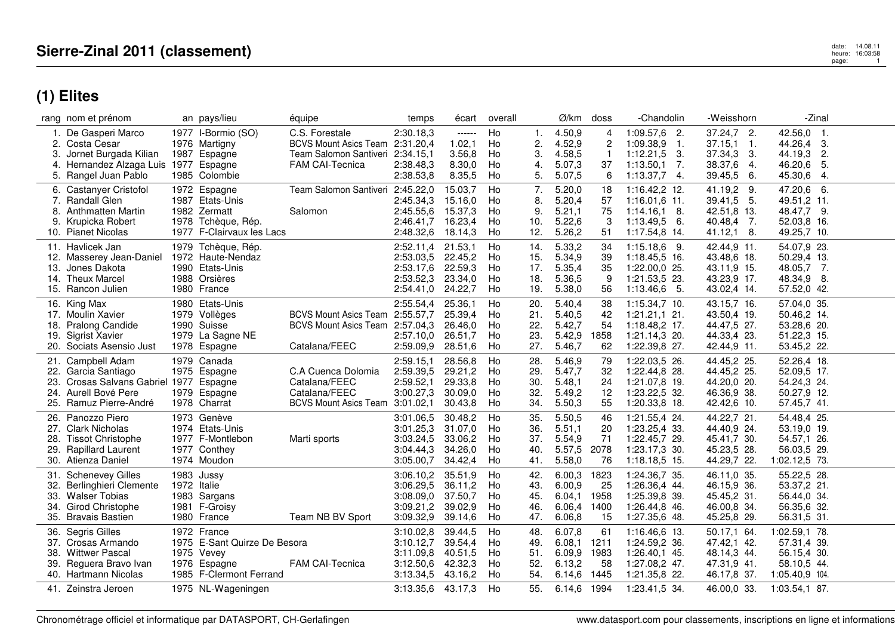# date: 14.08.11<br>heure: 16:03:58 page: 16:03:58<br>page: 1

|            | rang nom et prénom                  |             | an pays/lieu                 | équipe                           | temps     | écart    | overall |     | Ø/km    | doss           | -Chandolin        | -Weisshorn    | -Zinal                     |  |
|------------|-------------------------------------|-------------|------------------------------|----------------------------------|-----------|----------|---------|-----|---------|----------------|-------------------|---------------|----------------------------|--|
|            | 1. De Gasperi Marco                 |             | 1977 I-Bormio (SO)           | C.S. Forestale                   | 2:30.18,3 | $-----1$ | Ho      | 1.  | 4.50,9  | 4              | $1:09.57,6$ 2.    | $37.24,7$ 2.  | 42.56,0 1.                 |  |
|            | 2. Costa Cesar                      |             | 1976 Martigny                | BCVS Mount Asics Team 2:31.20,4  |           | 1.02,1   | Ho      | 2.  | 4.52,9  | $\overline{c}$ | $1:09.38,9$ 1.    | $37.15,1$ 1.  | 44.26,4<br>3.              |  |
|            | Jornet Burgada Kilian               |             | 1987 Espagne                 | Team Salomon Santiveri 2:34.15,1 |           | 3.56,8   | Ho      | З.  | 4.58,5  |                | $1:12.21,5$ 3.    | 37.34,3 3.    | 2.<br>44.19,3              |  |
| 4.         | Hernandez Alzaga Luis               |             | 1977 Espagne                 | <b>FAM CAI-Tecnica</b>           | 2:38.48,3 | 8.30,0   | Ho      | 4.  | 5.07,3  | 37             | 1:13.50.1<br>- 7. | 38.37,6<br>4. | 46.20,6<br>-5.             |  |
|            | 5. Rangel Juan Pablo                |             | 1985 Colombie                |                                  | 2:38.53,8 | 8.35,5   | Ho      | 5.  | 5.07,5  | 6              | $1:13.37,7$ 4.    | 39.45,5<br>6. | 45.30,6<br>-4.             |  |
|            | 6. Castanyer Cristofol              |             | 1972 Espagne                 | Team Salomon Santiveri           | 2:45.22,0 | 15.03,7  | Ho      | 7.  | 5.20,0  | 18             | 1:16.42,2 12.     | 41.19,2 9.    | 47.20,6 6.                 |  |
| 7.         | <b>Randall Glen</b>                 |             | 1987 Etats-Unis              |                                  | 2:45.34,3 | 15.16,0  | Ho      | 8.  | 5.20,4  | 57             | $1:16.01,6$ 11.   | 39.41,5 5.    | 49.51,2 11.                |  |
| 8.         | <b>Anthmatten Martin</b>            |             | 1982 Zermatt                 | Salomon                          | 2:45.55,6 | 15.37,3  | Ho      | 9.  | 5.21,1  | 75             | $1:14.16,1$ 8.    | 42.51,8 13.   | 48.47,7 9.                 |  |
|            | 9. Krupicka Robert                  |             | 1978 Tchèque, Rép.           |                                  | 2:46.41,7 | 16.23,4  | Ho      | 10. | 5.22,6  | 3              | $1:13.49.5$ 6.    | 40.48,4 7.    | 52.03,8 16.                |  |
|            | 10. Pianet Nicolas                  |             | 1977 F-Clairvaux les Lacs    |                                  | 2:48.32,6 | 18.14,3  | Ho      | 12. | 5.26,2  | 51             | 1:17.54,8 14.     | 41.12,1 8.    | 49.25,7 10.                |  |
|            |                                     |             |                              |                                  |           |          |         |     |         |                |                   |               |                            |  |
|            | 11. Havlicek Jan                    |             | 1979 Tchèque, Rép.           |                                  | 2:52.11.4 | 21.53,1  | Ho      | 14. | 5.33,2  | 34             | $1:15.18,6$ 9.    | 42.44,9 11.   | 54.07,9 23.                |  |
| 12.        | Masserey Jean-Daniel                |             | 1972 Haute-Nendaz            |                                  | 2:53.03,5 | 22.45,2  | Ho      | 15. | 5.34,9  | 39             | 1:18.45,5 16.     | 43.48,6 18.   | 50.29,4 13.                |  |
| 13.        | Jones Dakota                        |             | 1990 Etats-Unis              |                                  | 2:53.17,6 | 22.59,3  | Ho      | 17. | 5.35,4  | 35             | 1:22.00,0 25.     | 43.11,9 15.   | 48.05,7 7.                 |  |
|            | 14. Theux Marcel                    |             | 1988 Orsières                |                                  | 2:53.52,3 | 23.34,0  | Ho      | 18. | 5.36,5  | 9              | 1:21.53,5 23.     | 43.23,9 17.   | 48.34,9 8.                 |  |
|            | 15. Rancon Julien                   |             | 1980 France                  |                                  | 2:54.41,0 | 24.22,7  | Ho      | 19. | 5.38,0  | 56             | $1:13.46,6$ 5.    | 43.02,4 14.   | 57.52,0 42.                |  |
|            | 16. King Max                        |             | 1980 Etats-Unis              |                                  | 2:55.54,4 | 25.36,1  | Ho      | 20. | 5.40,4  | 38             | 1:15.34,7 10.     | 43.15,7 16.   | 57.04,0 35.                |  |
|            | 17. Moulin Xavier                   |             | 1979 Vollèges                | <b>BCVS Mount Asics Team</b>     | 2:55.57,7 | 25.39,4  | Ho      | 21. | 5.40,5  | 42             | $1:21.21,1$ 21.   | 43.50,4 19.   | 50.46,2 14.                |  |
| 18.        | Pralong Candide                     |             | 1990 Suisse                  | BCVS Mount Asics Team 2:57.04,3  |           | 26.46,0  | Ho      | 22. | 5.42,7  | 54             | 1:18.48,2 17.     | 44.47,5 27.   | 53.28,6 20.                |  |
| 19.        | <b>Sigrist Xavier</b>               |             | 1979 La Sagne NE             |                                  | 2:57.10.0 | 26.51,7  | Ho      | 23. | 5.42,9  | 1858           | 1:21.14,3 20.     | 44.33,4 23.   | 51.22,3 15.                |  |
| 20.        | Sociats Asensio Just                |             | 1978 Espagne                 | Catalana/FEEC                    | 2:59.09,9 | 28.51,6  | Ho      | 27. | 5.46,7  | 62             | 1:22.39,8 27.     | 42.44,9 11.   | 53.45,2 22.                |  |
|            | 21. Campbell Adam                   |             | 1979 Canada                  |                                  | 2:59.15,1 | 28.56,8  | Ho      | 28. | 5.46,9  | 79             | 1:22.03,5 26.     | 44.45,2 25.   | 52.26,4 18.                |  |
|            | Garcia Santiago                     |             | 1975 Espagne                 | C.A Cuenca Dolomia               | 2:59.39,5 | 29.21,2  | Ho      | 29. | 5.47,7  | 32             | 1:22.44,8 28.     | 44.45,2 25.   | 52.09,5 17.                |  |
| 22.        | Crosas Salvans Gabriel 1977 Espagne |             |                              | Catalana/FEEC                    | 2:59.52.1 | 29.33,8  | Ho      | 30. | 5.48,1  | 24             | 1:21.07,8 19.     | 44.20,0 20.   |                            |  |
| 23.        | Aurell Bové Pere                    |             |                              | Catalana/FEEC                    | 3:00.27,3 | 30.09,0  | Ho      | 32. | 5.49,2  | 12             | 1:23.22,5 32.     | 46.36,9 38.   | 54.24,3 24.<br>50.27,9 12. |  |
| 24.<br>25. | Ramuz Pierre-André                  |             | 1979 Espagne<br>1978 Charrat | <b>BCVS Mount Asics Team</b>     | 3:01.02,1 | 30.43,8  | Ho      | 34. | 5.50,3  | 55             | 1:20.33,8 18.     | 42.42,6 10.   | 57.45,7 41.                |  |
|            |                                     |             |                              |                                  |           |          |         |     |         |                |                   |               |                            |  |
| 26.        | Panozzo Piero                       |             | 1973 Genève                  |                                  | 3:01.06,5 | 30.48,2  | Ho      | 35. | 5.50,5  | 46             | 1:21.55,4 24.     | 44.22,7 21.   | 54.48,4 25.                |  |
| 27.        | <b>Clark Nicholas</b>               |             | 1974 Etats-Unis              |                                  | 3:01.25,3 | 31.07,0  | Ho      | 36. | 5.51,1  | 20             | 1:23.25,4 33.     | 44.40,9 24.   | 53.19,0 19.                |  |
| 28.        | <b>Tissot Christophe</b>            |             | 1977 F-Montlebon             | Marti sports                     | 3:03.24,5 | 33.06,2  | Ho      | 37. | 5.54,9  | 71             | 1:22.45,7 29.     | 45.41,7 30.   | 54.57,1 26.                |  |
| 29.        | <b>Rapillard Laurent</b>            |             | 1977 Conthey                 |                                  | 3:04.44,3 | 34.26,0  | Ho      | 40. | 5.57,5  | 2078           | 1:23.17,3 30.     | 45.23,5 28.   | 56.03,5 29.                |  |
|            | 30. Atienza Daniel                  |             | 1974 Moudon                  |                                  | 3:05.00,7 | 34.42,4  | Ho      | 41. | 5.58,0  | 76             | 1:18.18,5 15.     | 44.29,7 22.   | 1:02.12,5 73.              |  |
| 31.        | <b>Schenevey Gilles</b>             |             | 1983 Jussy                   |                                  | 3:06.10.2 | 35.51,9  | Ho      | 42. | 6.00,3  | 1823           | 1:24.36,7 35.     | 46.11.0 35.   | 55.22,5 28.                |  |
|            | 32. Berlinghieri Clemente           | 1972 Italie |                              |                                  | 3:06.29,5 | 36.11,2  | Ho      | 43. | 6.00,9  | 25             | 1:26.36,4 44.     | 46.15,9 36.   | 53.37,2 21.                |  |
| 33.        | <b>Walser Tobias</b>                |             | 1983 Sargans                 |                                  | 3:08.09,0 | 37.50,7  | Ho      | 45. | 6.04,1  | 1958           | 1:25.39,8 39.     | 45.45,2 31.   | 56.44,0 34.                |  |
| 34.        | <b>Girod Christophe</b>             |             | 1981 F-Groisy                |                                  | 3:09.21,2 | 39.02,9  | Ho      | 46. | 6.06,4  | 1400           | 1:26.44,8 46.     | 46.00,8 34.   | 56.35,6 32.                |  |
|            | 35. Bravais Bastien                 |             | 1980 France                  | Team NB BV Sport                 | 3:09.32,9 | 39.14,6  | Ho      | 47. | 6.06,8  | 15             | 1:27.35,6 48.     | 45.25,8 29.   | 56.31,5 31.                |  |
|            |                                     |             |                              |                                  |           |          |         |     |         |                |                   |               |                            |  |
| 36.        | Segris Gilles                       |             | 1972 France                  |                                  | 3:10.02,8 | 39.44,5  | Ho      | 48. | 6.07,8  | 61             | 1:16.46,6 13.     | 50.17,1 64.   | 1:02.59,1 78.              |  |
| 37.        | Crosas Armando                      |             | 1975 E-Sant Quirze De Besora |                                  | 3:10.12,7 | 39.54,4  | Ho      | 49. | 6.08,1  | 1211           | 1:24.59,2 36.     | 47.42,1 42.   | 57.31,4 39.                |  |
| 38.        | <b>Wittwer Pascal</b>               |             | 1975 Vevey                   |                                  | 3:11.09.8 | 40.51,5  | Ho      | 51. | 6.09,9  | 1983           | 1:26.40,1 45.     | 48.14,3 44.   | 56.15,4 30.                |  |
| 39.        | Reguera Bravo Ivan                  |             | 1976 Espagne                 | <b>FAM CAI-Tecnica</b>           | 3:12.50,6 | 42.32,3  | Ho      | 52. | 6.13,2  | 58             | 1:27.08,2 47.     | 47.31,9 41.   | 58.10,5 44.                |  |
|            | 40. Hartmann Nicolas                |             | 1985 F-Clermont Ferrand      |                                  | 3:13.34,5 | 43.16,2  | Ho      | 54. | 6.14, 6 | 1445           | 1:21.35,8 22.     | 46.17,8 37.   | 1:05.40,9 104.             |  |
|            | 41. Zeinstra Jeroen                 |             | 1975 NL-Wageningen           |                                  | 3:13.35,6 | 43.17,3  | Ho      | 55. | 6.14,6  | 1994           | 1:23.41.5 34.     | 46.00,0 33.   | 1:03.54,1 87.              |  |
|            |                                     |             |                              |                                  |           |          |         |     |         |                |                   |               |                            |  |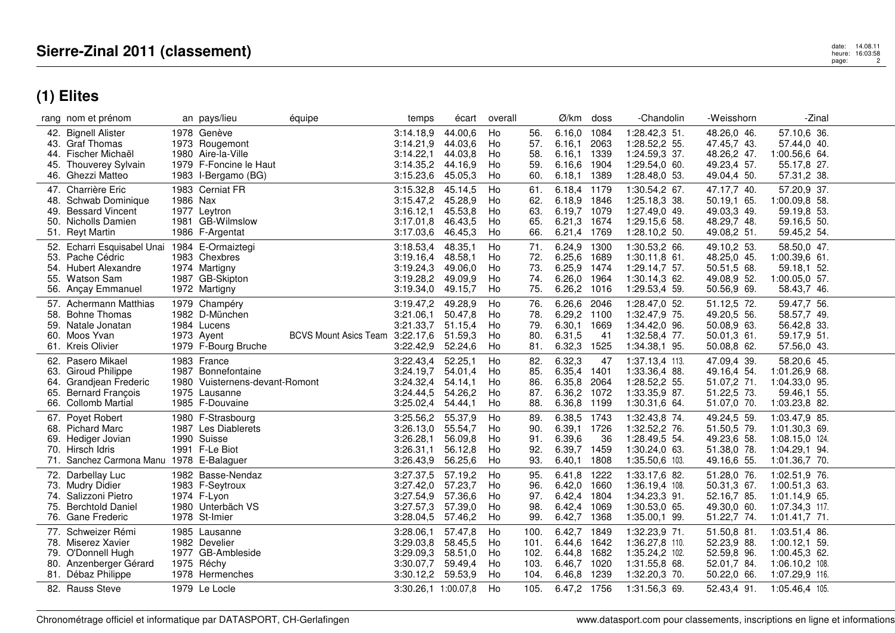|     | rang nom et prénom                       |          | an pays/lieu                   | équipe                       | temps                  | écart              | overall  |            | Ø/km             | doss         | -Chandolin                    | -Weisshorn                 | -Zinal                     |  |
|-----|------------------------------------------|----------|--------------------------------|------------------------------|------------------------|--------------------|----------|------------|------------------|--------------|-------------------------------|----------------------------|----------------------------|--|
|     | 42. Bignell Alister<br>43. Graf Thomas   |          | 1978 Genève<br>1973 Rougemont  |                              | 3:14.18,9<br>3:14.21,9 | 44.00,6<br>44.03,6 | Ho<br>Ho | 56.<br>57. | 6.16,0<br>6.16,1 | 1084<br>2063 | 1:28.42,3 51<br>1:28.52,2 55. | 48.26,0 46.<br>47.45,7 43. | 57.10,6 36.<br>57.44,0 40. |  |
|     | Fischer Michaël                          |          | 1980 Aire-la-Ville             |                              | 3:14.22,1              | 44.03,8            | Ho       | 58.        | 6.16,1           | 1339         | 1:24.59,3 37.                 | 48.26,2 47.                | 1:00.56,6 64.              |  |
| 45. | Thouverey Sylvain                        |          | 1979 F-Foncine le Haut         |                              | 3:14.35,2              | 44.16,9            | Ho       | 59.        | 6.16.6           | 1904         | 1:29.54,0 60.                 | 49.23,4 57.                | 55.17,8 27.                |  |
|     | 46. Ghezzi Matteo                        |          | 1983 I-Bergamo (BG)            |                              | 3:15.23,6              | 45.05,3            | Ho       | 60.        | 6.18,1           | 1389         | 1:28.48,0 53.                 | 49.04,4 50.                | 57.31,2 38.                |  |
| 47. | Charrière Eric                           |          | 1983 Cerniat FR                |                              | 3:15.32,8              | 45.14,5            | Ho       | 61.        | 6.18,4           | 1179         | 1:30.54,2 67.                 | 47.17,7 40.                | 57.20,9 37.                |  |
| 48. | Schwab Dominique                         | 1986 Nax |                                |                              | 3:15.47,2              | 45.28,9            | Ho       | 62.        | 6.18,9           | 1846         | 1:25.18,3 38.                 | 50.19,1 65.                | 1:00.09,8 58.              |  |
| 49. | <b>Bessard Vincent</b>                   |          | 1977 Leytron                   |                              | 3:16.12,1              | 45.53,8            | Ho       | 63.        | 6.19,7           | 1079         | 1:27.49,0 49.                 | 49.03,3 49.                | 59.19,8 53.                |  |
| 50. | Nicholls Damien                          |          | 1981 GB-Wilmslow               |                              | 3:17.01,8              | 46.43,5            | Ho       | 65.        | 6.21,3           | 1674         | 1:29.15,6 58.                 | 48.29,7 48.                | 59.16,5 50.                |  |
|     | 51. Reyt Martin                          |          | 1986 F-Argentat                |                              | 3:17.03,6              | 46.45,3            | Ho       | 66.        | 6.21,4           | 1769         | $1:28.10,250$ .               | 49.08,2 51.                | 59.45,2 54.                |  |
|     | 52. Echarri Esquisabel Unai              |          | 1984 E-Ormaiztegi              |                              | 3:18.53,4              | 48.35,1            | Ho       | 71.        | 6.24,9           | 1300         | 1:30.53,2 66.                 | 49.10,2 53.                | 58.50,0 47.                |  |
| 53. | Pache Cédric                             |          | 1983 Chexbres                  |                              | 3:19.16,4              | 48.58,1            | Ho       | 72.        | 6.25, 6          | 1689         | $1:30.11,8$ 61.               | 48.25,0 45.                | $1:00.39,6$ 61.            |  |
| 54. | <b>Hubert Alexandre</b>                  |          | 1974 Martigny                  |                              | 3:19.24,3              | 49.06.0            | Ho       | 73.        | 6.25,9           | 1474         | 1:29.14,7 57.                 | 50.51,5 68.                | 59.18.1 52.                |  |
| 55. | Watson Sam                               |          | 1987 GB-Skipton                |                              | 3:19.28,2              | 49.09,9            | Ho       | 74.        | 6.26,0           | 1964         | 1:30.14,3 62.                 | 49.08,9 52.                | $1:00.05,0$ 57.            |  |
| 56. | Ançay Emmanuel                           |          | 1972 Martigny                  |                              | 3:19.34,0              | 49.15,7            | Ho       | 75.        | 6.26,2           | 1016         | 1:29.53,4 59.                 | 50.56,9 69.                | 58.43,7 46.                |  |
|     | 57. Achermann Matthias                   |          | 1979 Champéry                  |                              | 3:19.47,2              | 49.28,9            | Ho       | 76.        | 6.26,6           | 2046         | 1:28.47,0 52.                 | 51.12,5 72.                | 59.47,7 56.                |  |
| 58. | <b>Bohne Thomas</b>                      |          | 1982 D-München                 |                              | 3:21.06,1              | 50.47,8            | Ho       | 78.        | 6.29,2           | 1100         | 1:32.47,9 75.                 | 49.20,5 56.                | 58.57,7 49.                |  |
| 59. | Natale Jonatan                           |          | 1984 Lucens                    |                              | 3:21.33,7              | 51.15,4            | Ho       | 79.        | 6.30,1 1669      |              | 1:34.42,0 96.                 | 50.08,9 63.                | 56.42,8 33.                |  |
|     | 60. Moos Yvan                            |          | 1973 Ayent                     | <b>BCVS Mount Asics Team</b> | 3:22.17,6              | 51.59,3            | Ho       | 80.        | 6.31,5           | 41           | 1:32.58,4 77.                 | 50.01,361.                 | 59.17,9 51.                |  |
|     | 61. Kreis Olivier                        |          | 1979 F-Bourg Bruche            |                              | 3:22.42,9              | 52.24,6            | Ho       | 81.        | 6.32,3           | 1525         | 1:34.38,1 95.                 | 50.08,8 62.                | 57.56,0 43.                |  |
|     | 62. Pasero Mikael                        |          | 1983 France                    |                              | 3:22.43,4              | 52.25,1            | Ho       | 82.        | 6.32,3           | 47           | 1:37.13,4 113.                | 47.09,4 39.                | 58.20,6 45.                |  |
| 63. | <b>Giroud Philippe</b>                   |          | 1987 Bonnefontaine             |                              | 3:24.19.7              | 54.01.4            | Ho       | 85.        | 6.35,4           | 1401         | 1:33.36,4 88.                 | 49.16,4 54.                | 1:01.26,9 68.              |  |
| 64. | Grandiean Frederic                       |          | 1980 Vuisternens-devant-Romont |                              | 3:24.32,4              | 54.14,1            | Ho       | 86.        | 6.35,8           | 2064         | 1:28.52,2 55.                 | 51.07,2 71.                | 1:04.33,0 95.              |  |
| 65. | <b>Bernard François</b>                  |          | 1975 Lausanne                  |                              | 3:24.44,5              | 54.26,2            | Ho       | 87.        | 6.36,2           | 1072         | 1:33.35,9 87.                 | 51.22,5 73.                | 59.46,1 55.                |  |
| 66. | <b>Collomb Martial</b>                   |          | 1985 F-Douvaine                |                              | 3:25.02,4              | 54.44,1            | Ho       | 88.        | 6.36,8           | 1199         | 1:30.31,6 64.                 | 51.07,0 70.                | 1:03.23,8 82.              |  |
|     | 67. Poyet Robert                         |          | 1980 F-Strasbourg              |                              | 3:25.56,2              | 55.37,9            | Ho       | 89.        | 6.38,5           | 1743         | 1:32.43,8 74.                 | 49.24,5 59.                | 1:03.47,9 85.              |  |
|     | 68. Pichard Marc                         |          | 1987 Les Diablerets            |                              | 3:26.13,0              | 55.54,7            | Ho       | 90.        | 6.39,1           | 1726         | 1:32.52,2 76.                 | 51.50,5 79.                | 1:01.30,3 69.              |  |
|     | 69. Hediger Jovian                       |          | 1990 Suisse                    |                              | 3:26.28,1              | 56.09,8            | Ho       | 91.        | 6.39,6           | 36           | 1:28.49,5 54.                 | 49.23,6 58.                | 1:08.15,0 124.             |  |
|     | 70. Hirsch Idris                         |          | 1991 F-Le Biot                 |                              | 3:26.31,1              | 56.12,8            | Ho       | 92.        | 6.39,7           | 1459         | 1:30.24,0 63.                 | 51.38,0 78.                | 1:04.29,1 94.              |  |
|     | 71. Sanchez Carmona Manu 1978 E-Balaguer |          |                                |                              | 3:26.43,9              | 56.25,6            | Ho       | 93.        | 6.40,1           | 1808         | 1:35.50,6 103.                | 49.16,6 55.                | 1:01.36,7 70.              |  |
|     | 72. Darbellay Luc                        |          | 1982 Basse-Nendaz              |                              | 3:27.37,5              | 57.19,2            | Ho       | 95.        | 6.41,8           | 1222         | 1:33.17,6 82.                 | 51.28,0 76.                | 1:02.51,9 76.              |  |
|     | 73. Mudry Didier                         |          | 1983 F-Seytroux                |                              | 3:27.42.0              | 57.23.7            | Ho       | 96.        | 6.42,0           | 1660         | 1:36.19,4 108.                | 50.31,3 67.                | 1:00.51,3 63.              |  |
|     | 74. Salizzoni Pietro                     |          | 1974 F-Lyon                    |                              | 3:27.54,9              | 57.36,6            | Ho       | 97.        | 6.42,4           | 1804         | 1:34.23,3 91.                 | 52.16,7 85.                | 1:01.14,9 65.              |  |
| 75. | <b>Berchtold Daniel</b>                  |          | 1980 Unterbäch VS              |                              | 3:27.57,3              | 57.39,0            | Ho       | 98.        | 6.42,4           | 1069         | 1:30.53,0 65.                 | 49.30,0 60.                | 1:07.34,3 117.             |  |
|     | 76. Gane Frederic                        |          | 1978 St-Imier                  |                              | 3:28.04,5              | 57.46,2            | Ho       | 99.        | 6.42,7           | 1368         | 1:35.00,1 99.                 | 51.22,7 74.                | $1:01.41,7$ 71.            |  |
|     | 77. Schweizer Rémi                       |          | 1985 Lausanne                  |                              | 3:28.06,1              | 57.47,8            | Ho       | 100.       | 6.42,7           | 1849         | 1:32.23,9 71.                 | 51.50,8 81.                | 1:03.51,4 86.              |  |
|     | 78. Miserez Xavier                       |          | 1982 Develier                  |                              | 3:29.03,8              | 58.45,5            | Ho       | 101.       | 6.44,6           | 1642         | 1:36.27,8 110.                | 52.23,9 88.                | $1:00.12,1$ 59.            |  |
| 79. | O'Donnell Hugh                           |          | 1977 GB-Ambleside              |                              | 3:29.09,3              | 58.51,0            | Ho       | 102.       | 6.44,8           | 1682         | 1:35.24,2 102.                | 52.59,8 96.                | $1:00.45,3$ 62.            |  |
|     | 80. Anzenberger Gérard                   |          | 1975 Réchy                     |                              | 3:30.07,7              | 59.49,4            | Ho       | 103.       | 6.46,7           | 1020         | 1:31.55,8 68.                 | 52.01,7 84.                | 1:06.10,2 108.             |  |
|     | 81. Débaz Philippe                       |          | 1978 Hermenches                |                              | 3:30.12,2              | 59.53,9            | Ho       | 104.       | 6.46,8           | 1239         | 1:32.20,3 70.                 | 50.22,0 66.                | 1:07.29,9 116.             |  |
|     | 82. Rauss Steve                          |          | 1979 Le Locle                  |                              | 3:30.26.1 1:00.07.8    |                    | Ho       | 105.       | 6.47,2 1756      |              | 1:31.56,3 69.                 | 52.43,4 91.                | 1:05.46.4 105.             |  |
|     |                                          |          |                                |                              |                        |                    |          |            |                  |              |                               |                            |                            |  |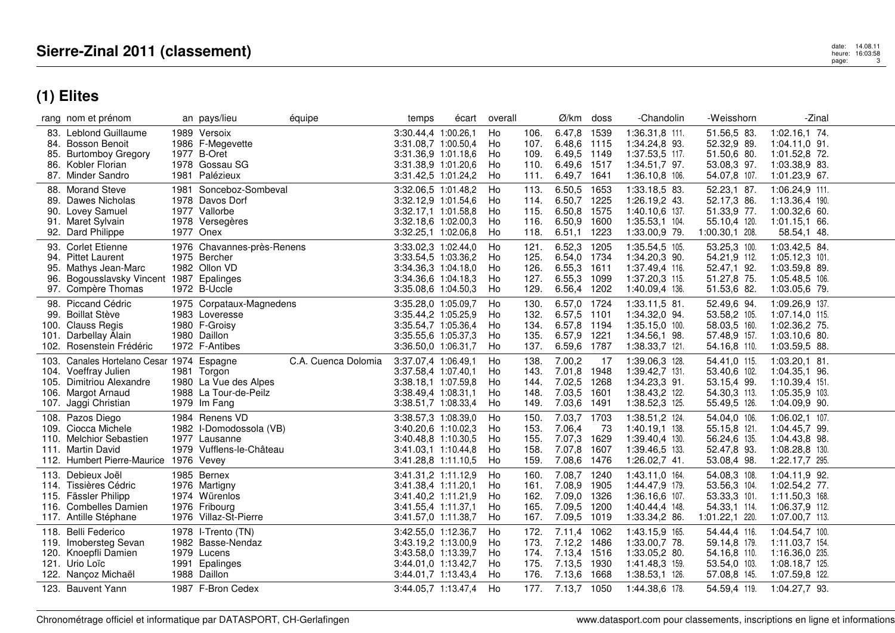|                      | rang nom et prénom                                                                                                           | an pays/lieu<br>équipe                                                                               | temps                                                                                                           | écart | overall                    |                                      | Ø/km                                                     | doss                                 | -Chandolin                                                                            | -Weisshorn                                                                     | -Zinal                                                                                 |  |
|----------------------|------------------------------------------------------------------------------------------------------------------------------|------------------------------------------------------------------------------------------------------|-----------------------------------------------------------------------------------------------------------------|-------|----------------------------|--------------------------------------|----------------------------------------------------------|--------------------------------------|---------------------------------------------------------------------------------------|--------------------------------------------------------------------------------|----------------------------------------------------------------------------------------|--|
| 85.<br>86.           | 83. Leblond Guillaume<br>84. Bosson Benoit<br><b>Burtomboy Gregory</b><br>Kobler Florian<br>87. Minder Sandro                | 1989 Versoix<br>1986 F-Megevette<br>1977 B-Oret<br>1978 Gossau SG<br>1981 Palézieux                  | 3:30.44,4 1:00.26,1<br>3:31.08.7 1:00.50.4<br>3:31.36,9 1:01.18,6<br>3:31.38,9 1:01.20,6<br>3:31.42,5 1:01.24,2 |       | Ho<br>Ho<br>Ho<br>Ho<br>Ho | 106.<br>107.<br>109.<br>110.<br>111. | 6.47,8<br>6.48,6<br>6.49,5<br>6.49.6<br>6.49,7 1641      | 1539<br>1115<br>1149<br>1517         | 1:36.31,8 111.<br>1:34.24,8 93.<br>1:37.53,5 117.<br>1:34.51,7 97.<br>1:36.10,8 106.  | 51.56,5 83.<br>52.32,9 89.<br>51.50,6 80.<br>53.08,3 97.<br>54.07,8 107.       | 1:02.16,1 74.<br>$1:04.11,0$ 91.<br>1:01.52,8 72.<br>1:03.38,9 83.<br>1:01.23,9 67.    |  |
| 89.<br>92.           | 88. Morand Steve<br>Dawes Nicholas<br>90. Lovey Samuel<br>91. Maret Sylvain<br>Dard Philippe                                 | 1981 Sonceboz-Sombeval<br>1978 Davos Dorf<br>1977 Vallorbe<br>1978 Versegères<br>1977 Onex           | 3:32.06,5 1:01.48,2<br>3:32.12,9 1:01.54,6<br>3:32.17.1 1:01.58.8<br>3:32.18,6 1:02.00,3<br>3:32.25,1 1:02.06,8 |       | Ho<br>Ho<br>Ho<br>Ho<br>Ho | 113.<br>114.<br>115.<br>116.<br>118. | 6.50,5<br>6.50,7<br>6.50,8<br>6.50,9<br>6.51,1           | 1653<br>1225<br>1575<br>1600<br>1223 | 1:33.18,5 83.<br>1:26.19,2 43.<br>1:40.10,6 137.<br>1:35.53,1 104.<br>1:33.00,9 79.   | 52.23,1 87.<br>52.17,3 86.<br>51.33,9 77.<br>55.10,4 120.<br>1:00.30,1 208.    | 1:06.24,9 111.<br>1:13.36,4 190.<br>1:00.32,6 60.<br>1:01.15,1 66.<br>58.54,1 48.      |  |
| 95.<br>96.           | 93. Corlet Etienne<br>94. Pittet Laurent<br>Mathys Jean-Marc<br>Bogousslavsky Vincent<br>97. Compère Thomas                  | 1976 Chavannes-près-Renens<br>1975 Bercher<br>1982 Ollon VD<br>1987 Epalinges<br>1972 B-Uccle        | 3:33.02,3 1:02.44,0<br>3:33.54,5 1:03.36,2<br>3:34.36.3 1:04.18.0<br>3:34.36.6 1:04.18.3<br>3:35.08,6 1:04.50,3 |       | Ho<br>Ho<br>Ho<br>Ho<br>Ho | 121.<br>125.<br>126.<br>127.<br>129. | 6.52,3<br>6.54,0<br>6.55,3<br>6.55,3 1099<br>6.56,4      | 1205<br>1734<br>1611<br>1202         | 1:35.54,5 105.<br>1:34.20,3 90.<br>1:37.49,4 116.<br>1:37.20,3 115.<br>1:40.09,4 136. | 53.25,3 100.<br>54.21,9 112.<br>52.47,1 92.<br>51.27,8 75.<br>51.53,6 82.      | 1:03.42,5 84.<br>$1:05.12,3$ 101.<br>1:03.59,8 89.<br>1:05.48.5 106.<br>1:03.05,6 79.  |  |
| 101.                 | 98. Piccand Cédric<br>99. Boillat Stève<br>100. Clauss Regis<br>Darbellay Alain<br>102. Rosenstein Frédéric                  | 1975 Corpataux-Magnedens<br>1983 Loveresse<br>1980 F-Groisy<br>1980 Daillon<br>1972 F-Antibes        | 3:35.28,0 1:05.09,7<br>3:35.44,2 1:05.25,9<br>3:35.54,7 1:05.36,4<br>3:35.55,6 1:05.37,3<br>3:36.50,0 1:06.31,7 |       | Ho<br>Ho<br>Ho<br>Ho<br>Ho | 130.<br>132.<br>134.<br>135.<br>137. | 6.57,0 1724<br>6.57,5<br>6.57,8<br>6.57,9<br>6.59,6      | 1101<br>1194<br>1221<br>1787         | 1:33.11.5 81.<br>1:34.32,0 94.<br>$1:35.15,0$ 100.<br>1:34.56,1 98.<br>1:38.33,7 121. | 52.49,6 94.<br>53.58,2 105.<br>58.03,5 160.<br>57.48,9 157.<br>54.16,8 110.    | 1:09.26,9 137.<br>1:07.14,0 115.<br>1:02.36,2 75.<br>1:03.10,6 80.<br>1:03.59,5 88.    |  |
| 103.<br>104.<br>107. | Canales Hortelano Cesar 1974 Espagne<br>Voeffray Julien<br>105. Dimitriou Alexandre<br>106. Margot Arnaud<br>Jaggi Christian | C.A. Cuenca Dolomia<br>1981 Torgon<br>1980 La Vue des Alpes<br>1988 La Tour-de-Peilz<br>1979 Im Fang | 3:37.07,4 1:06.49,1<br>3:37.58,4 1:07.40,1<br>3:38.18.1 1:07.59.8<br>3:38.49,4 1:08.31,1<br>3:38.51,7 1:08.33,4 |       | Ho<br>Ho<br>Ho<br>Ho<br>Ho | 138.<br>143.<br>144.<br>148.<br>149. | 7.00,2<br>7.01,8<br>7.02.5<br>7.03,5<br>7.03,6           | -17<br>1948<br>1268<br>1601<br>1491  | 1:39.06,3 128.<br>1:39.42,7 131.<br>1:34.23,3 91.<br>1:38.43,2 122.<br>1:38.52,3 125. | 54.41,0 115.<br>53.40,6 102.<br>53.15,4 99.<br>54.30,3 113.<br>55.49,5 126.    | $1:03.20,1$ 81.<br>1:04.35,1 96.<br>1:10.39,4 151.<br>1:05.35,9 103.<br>1:04.09,9 90.  |  |
|                      | 108. Pazos Diego<br>109. Ciocca Michele<br>110. Melchior Sebastien<br>111. Martin David<br>112. Humbert Pierre-Maurice       | 1984 Renens VD<br>1982 I-Domodossola (VB)<br>1977 Lausanne<br>1979 Vufflens-le-Château<br>1976 Vevey | 3:38.57,3 1:08.39,0<br>3:40.20,6 1:10.02,3<br>3:40.48,8 1:10.30,5<br>3:41.03.1 1:10.44.8<br>3:41.28,8 1:11.10,5 |       | Ho<br>Ho<br>Ho<br>Ho<br>Ho | 150.<br>153.<br>155.<br>158.<br>159. | 7.03,7 1703<br>7.06,4<br>7.07,3<br>7.07,8<br>7.08,6      | 73<br>1629<br>1607<br>1476           | 1:38.51,2 124.<br>1:40.19,1 138.<br>1:39.40,4 130.<br>1:39.46,5 133.<br>1:26.02,7 41. | 54.04,0 106.<br>55.15,8 121.<br>56.24,6 135.<br>52.47,8 93.<br>53.08,4 98.     | 1:06.02,1 107.<br>1:04.45,7 99.<br>1:04.43,8 98.<br>1:08.28,8 130.<br>1:22.17,7 295.   |  |
|                      | 113. Debieux Joël<br>114. Tissières Cédric<br>115. Fässler Philipp<br>116. Combelles Damien<br>117. Antille Stéphane         | 1985 Bernex<br>1976 Martigny<br>1974 Würenlos<br>1976 Fribourg<br>1976 Villaz-St-Pierre              | 3:41.31,2 1:11.12,9<br>3:41.38.4 1:11.20.1<br>3:41.40,2 1:11.21,9<br>3:41.55,4 1:11.37,1<br>3:41.57,0 1:11.38,7 |       | Ho<br>Ho<br>Ho<br>Ho<br>Ho | 160.<br>161.<br>162.<br>165.<br>167. | 7.08,7<br>7.08.9<br>7.09,0<br>7.09.5<br>7.09,5 1019      | 1240<br>1905<br>1326<br>1200         | 1:43.11,0 164.<br>1:44.47.9 179.<br>1:36.16,6 107.<br>1:40.44,4 148.<br>1:33.34,2 86. | 54.08,3 108.<br>53.56,3 104.<br>53.33,3 101.<br>54.33,1 114.<br>1:01.22,1 220. | 1:04.11,9 92.<br>1:02.54,2 77.<br>1:11.50,3 168.<br>1:06.37,9 112.<br>1:07.00,7 113.   |  |
| 118.                 | <b>Belli Federico</b><br>119. Imobersteg Sevan<br>120. Knoepfli Damien<br>121. Urio Loïc<br>122. Nançoz Michaël              | 1978 I-Trento (TN)<br>1982 Basse-Nendaz<br>1979 Lucens<br>1991 Epalinges<br>1988 Daillon             | 3:42.55,0 1:12.36,7<br>3:43.19,2 1:13.00,9<br>3:43.58,0 1:13.39,7<br>3:44.01,0 1:13.42,7<br>3:44.01,7 1:13.43,4 |       | Ho<br>Ho<br>Ho<br>Ho<br>Ho | 172.<br>173.<br>174.<br>175.<br>176. | 7.11,4<br>7.12,2 1486<br>7.13,4 1516<br>7.13,5<br>7.13,6 | 1062<br>1930<br>1668                 | 1:43.15,9 165.<br>1:33.00.7 78.<br>1:33.05,2 80.<br>1:41.48,3 159.<br>1:38.53,1 126.  | 54.44,4 116.<br>59.14,8 179.<br>54.16,8 110.<br>53.54,0 103.<br>57.08,8 145.   | 1:04.54,7 100.<br>1:11.03,7 154.<br>1:16.36,0 235.<br>1:08.18,7 125.<br>1:07.59,8 122. |  |
|                      | 123. Bauvent Yann                                                                                                            | 1987 F-Bron Cedex                                                                                    | 3:44.05,7 1:13.47,4                                                                                             |       | Ho                         | 177.                                 | 7.13,7                                                   | 1050                                 | 1:44.38,6 178.                                                                        | 54.59,4 119.                                                                   | 1:04.27,7 93.                                                                          |  |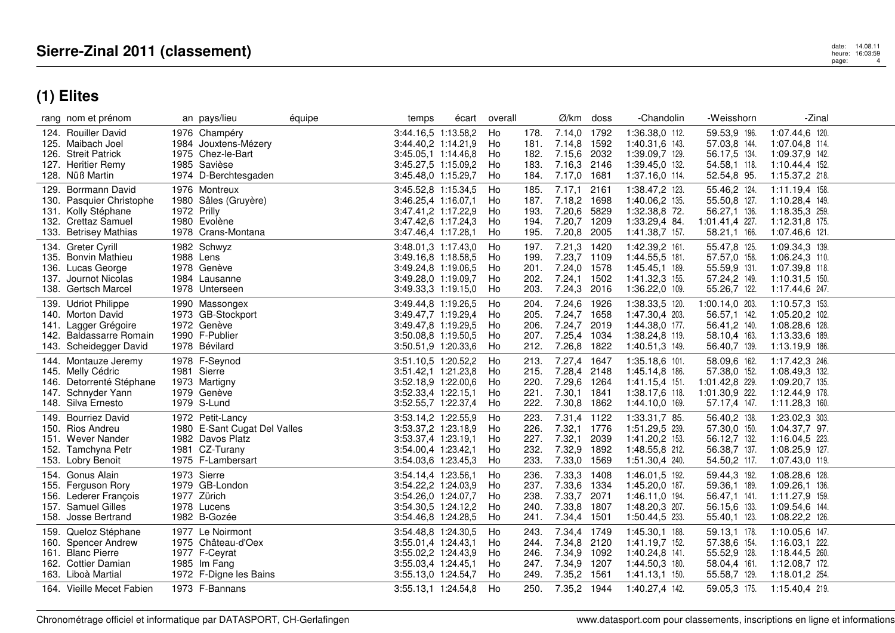|      | rang nom et prénom                                                                                                       | an pays/lieu                                                                                                | équipe | temps                                                                                                           | écart | overall                     |                                      | $\emptyset$ /km doss                                                    |              | -Chandolin                                                                               | -Weisshorn                                                                       | -Zinal                                                                                 |  |
|------|--------------------------------------------------------------------------------------------------------------------------|-------------------------------------------------------------------------------------------------------------|--------|-----------------------------------------------------------------------------------------------------------------|-------|-----------------------------|--------------------------------------|-------------------------------------------------------------------------|--------------|------------------------------------------------------------------------------------------|----------------------------------------------------------------------------------|----------------------------------------------------------------------------------------|--|
|      | 124. Rouiller David<br>125. Maibach Joel<br>126. Streit Patrick<br>127. Heritier Remy<br>128. Nüß Martin                 | 1976 Champéry<br>1984 Jouxtens-Mézery<br>1975 Chez-le-Bart<br>1985 Savièse<br>1974 D-Berchtesgaden          |        | 3:44.16,5 1:13.58,2<br>3:44.40.2 1:14.21.9<br>3:45.05,1 1:14.46,8<br>3:45.27,5 1:15.09,2<br>3:45.48,0 1:15.29,7 |       | Ho<br>Ho<br>Ho<br>Ho<br>Ho  | 178.<br>181.<br>182.<br>183.<br>184. | 7.14,0 1792<br>7.14,8 1592<br>7.15,6 2032<br>7.16,3<br>7.17,0 1681      | 2146         | 1:36.38,0 112.<br>1:40.31,6 143.<br>1:39.09,7 129.<br>1:39.45.0 132.<br>1:37.16,0 114.   | 59.53,9 196.<br>57.03.8 144.<br>56.17,5 134.<br>54.58,1 118.<br>52.54,8 95.      | 1:07.44,6 120.<br>1:07.04.8 114.<br>1:09.37,9 142.<br>1:10.44,4 152<br>1:15.37,2 218.  |  |
| 129. | <b>Borrmann David</b><br>130. Pasquier Christophe<br>131. Kolly Stéphane<br>132. Crettaz Samuel<br>133. Betrisey Mathias | 1976 Montreux<br>1980 Sâles (Gruyère)<br>1972 Prilly<br>1980 Evolène<br>1978 Crans-Montana                  |        | 3:45.52,8 1:15.34,5<br>3:46.25,4 1:16.07,1<br>3:47.41.2 1:17.22.9<br>3:47.42,6 1:17.24,3<br>3:47.46,4 1:17.28,1 |       | Ho<br>Ho<br>Ho<br>Ho<br>Ho  | 185.<br>187.<br>193.<br>194.<br>195. | 7.17,1<br>7.18,2 1698<br>7.20,6 5829<br>7.20,7 1209<br>7.20,8 2005      | 2161         | 1:38.47,2 123.<br>1:40.06,2 135.<br>1:32.38,8 72.<br>1:33.29,4 84.<br>1:41.38,7 157.     | 55.46,2 124.<br>55.50,8 127.<br>56.27,1 136.<br>1:01.41,4 227.<br>58.21,1 166.   | 1:11.19,4 158.<br>1:10.28,4 149.<br>1:18.35,3 259.<br>1:12.31,8 175.<br>1:07.46,6 121. |  |
|      | 134. Greter Cvrill<br>135. Bonvin Mathieu<br>136. Lucas George<br>137. Journot Nicolas<br>138. Gertsch Marcel            | 1982 Schwyz<br>1988 Lens<br>1978 Genève<br>1984 Lausanne<br>1978 Unterseen                                  |        | 3:48.01,3 1:17.43,0<br>3:49.16,8 1:18.58,5<br>3:49.24,8 1:19.06,5<br>3:49.28.0 1:19.09.7<br>3:49.33,3 1:19.15,0 |       | Ho<br>Ho<br>Ho<br>Ho<br>Ho  | 197.<br>199.<br>201.<br>202.<br>203. | 7.21,3<br>7.23,7 1109<br>7.24,0 1578<br>7.24,1 1502<br>7.24,3 2016      | 1420         | 1:42.39,2 161.<br>1:44.55,5 181.<br>1:45.45.1 189.<br>1:41.32,3 155.<br>1:36.22,0 109.   | 55.47,8 125.<br>57.57,0 158.<br>55.59,9 131.<br>57.24,2 149.<br>55.26,7 122.     | 1:09.34,3 139.<br>1:06.24,3 110.<br>1:07.39,8 118.<br>1:10.31,5 150.<br>1:17.44,6 247. |  |
|      | 139. Udriot Philippe<br>140. Morton David<br>141. Lagger Grégoire<br>142. Baldassarre Romain<br>143. Scheidegger David   | 1990 Massongex<br>1973 GB-Stockport<br>1972 Genève<br>1990 F-Publier<br>1978 Bévilard                       |        | 3:49.44.8 1:19.26.5<br>3:49.47,7 1:19.29,4<br>3:49.47,8 1:19.29,5<br>3:50.08,8 1:19.50,5<br>3:50.51,9 1:20.33,6 |       | Ho<br>Ho<br>Ho<br>Ho<br>Ho  | 204.<br>205.<br>206.<br>207.<br>212. | 7.24,6 1926<br>7.24,7 1658<br>7.24,7 2019<br>7.25,4 1034<br>7.26,8 1822 |              | 1:38.33,5 120.<br>1:47.30,4 203.<br>1:44.38,0 177.<br>1:38.24,8 119.<br>1:40.51,3 149.   | 1:00.14.0 203.<br>56.57,1 142.<br>56.41,2 140.<br>58.10,4 163.<br>56.40,7 139.   | 1:10.57,3 153.<br>1:05.20,2 102.<br>1:08.28,6 128.<br>1:13.33,6 189.<br>1:13.19,9 186. |  |
|      | 144. Montauze Jeremy<br>145. Melly Cédric<br>146. Detorrenté Stéphane<br>147. Schnyder Yann<br>148. Silva Ernesto        | 1978 F-Seynod<br>1981 Sierre<br>1973 Martigny<br>1979 Genève<br>1979 S-Lund                                 |        | 3:51.10,5 1:20.52,2<br>3:51.42,1 1:21.23,8<br>3:52.18.9 1:22.00.6<br>3:52.33,4 1:22.15,1<br>3:52.55,7 1:22.37,4 |       | Ho<br>Ho<br>Ho<br>Ho<br>Ho  | 213.<br>215.<br>220.<br>221.<br>222. | 7.27,4 1647<br>7.28,4 2148<br>7.29,6 1264<br>7.30,1 1841<br>7.30,8 1862 |              | 1:35.18,6 101.<br>1:45.14.8 186.<br>1:41.15,4 151.<br>1:38.17,6 118.<br>1:44.10,0 169.   | 58.09,6 162.<br>57.38,0 152.<br>1:01.42,8 229.<br>1:01.30,9 222.<br>57.17,4 147. | 1:17.42,3 246.<br>1:08.49,3 132.<br>1:09.20.7 135.<br>1:12.44,9 178.<br>1:11.28,3 160. |  |
|      | 149. Bourriez David<br>150. Rios Andreu<br>151. Wever Nander<br>152. Tamchyna Petr<br>153. Lobry Benoit                  | 1972 Petit-Lancy<br>1980 E-Sant Cugat Del Valles<br>1982 Davos Platz<br>1981 CZ-Turany<br>1975 F-Lambersart |        | 3:53.14,2 1:22.55,9<br>3:53.37,2 1:23.18,9<br>3:53.37,4 1:23.19,1<br>3:54.00.4 1:23.42.1<br>3:54.03,6 1:23.45,3 |       | Ho<br>Ho<br>Ho<br>Ho<br>Ho  | 223.<br>226.<br>227.<br>232.<br>233. | 7.31,4 1122<br>7.32,1<br>7.32,1<br>7.32,9 1892<br>7.33,0 1569           | 1776<br>2039 | 1:33.31,7 85.<br>1:51.29,5 239.<br>1:41.20,2 153.<br>1:48.55,8 212.<br>1:51.30,4 240.    | 56.40,2 138.<br>57.30,0 150.<br>56.12,7 132.<br>56.38,7 137.<br>54.50,2 117.     | 1:23.02,3 303.<br>1:04.37,7 97.<br>1:16.04,5 223.<br>1:08.25,9 127.<br>1:07.43,0 119.  |  |
|      | 154. Gonus Alain<br>155. Ferguson Rory<br>156. Lederer François<br>157. Samuel Gilles<br>158. Josse Bertrand             | 1973 Sierre<br>1979 GB-London<br>1977 Zürich<br>1978 Lucens<br>1982 B-Gozée                                 |        | 3:54.14,4 1:23.56,1<br>3:54.22,2 1:24.03,9<br>3:54.26,0 1:24.07,7<br>3:54.30,5 1:24.12,2<br>3:54.46,8 1:24.28,5 |       | Ho<br>Ho<br>Ho<br>Ho<br>Ho  | 236.<br>237.<br>238.<br>240.<br>241. | 7.33,3 1408<br>7.33,6 1334<br>7.33,7 2071<br>7.33,8 1807<br>7.34,4 1501 |              | 1:46.01,5 192.<br>1:45.20,0 187.<br>1:46.11,0 194.<br>1:48.20,3 207.<br>1:50.44,5 233.   | 59.44,3 192.<br>59.36,1 189.<br>56.47,1 141.<br>56.15.6 133.<br>55.40,1 123.     | 1:08.28,6 128.<br>1:09.26.1 136.<br>1:11.27,9 159.<br>1:09.54,6 144.<br>1:08.22,2 126. |  |
|      | 159. Queloz Stéphane<br>160. Spencer Andrew<br>161. Blanc Pierre<br>162. Cottier Damian<br>163. Liboà Martial            | 1977 Le Noirmont<br>1975 Château-d'Oex<br>1977 F-Ceyrat<br>1985 Im Fang<br>1972 F-Digne les Bains           |        | 3:54.48,8 1:24.30,5<br>3:55.01,4 1:24.43,1<br>3:55.02,2 1:24.43,9<br>3:55.03,4 1:24.45,1<br>3:55.13,0 1:24.54,7 |       | Ho<br>Ho<br>Ho.<br>Ho<br>Ho | 243.<br>244.<br>246.<br>247.<br>249. | 7.34,4<br>7.34,8 2120<br>7.34,9 1092<br>7.34,9 1207<br>7.35,2 1561      | 1749         | 1:45.30,1 188.<br>1:41.19.7 152.<br>1:40.24,8 141.<br>1:44.50,3 180.<br>$1:41.13,1$ 150. | 59.13,1 178.<br>57.38,6 154.<br>55.52,9 128.<br>58.04,4 161.<br>55.58,7 129.     | 1:10.05,6 147.<br>1:16.03.1 222.<br>1:18.44,5 260.<br>1:12.08,7 172.<br>1:18.01,2 254. |  |
|      | 164. Vieille Mecet Fabien                                                                                                | 1973 F-Bannans                                                                                              |        | 3:55.13,1 1:24.54,8                                                                                             |       | Ho                          | 250.                                 | 7.35,2 1944                                                             |              | 1:40.27,4 142.                                                                           | 59.05,3 175.                                                                     | 1:15.40,4 219.                                                                         |  |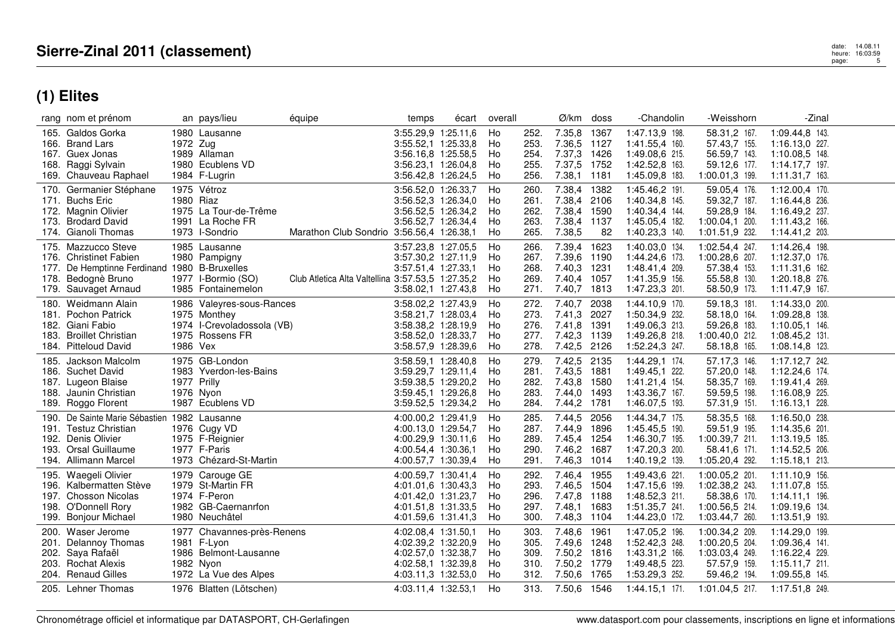|              | rang nom et prénom                                                                                                                          |             | an pays/lieu                                                                                             | équipe                                            | temps                                                                                                           | écart | overall                    |                                      | Ø/km                                                                    | doss         | -Chandolin                                                                             | -Weisshorn                                                                           | -Zinal                                                                                     |  |
|--------------|---------------------------------------------------------------------------------------------------------------------------------------------|-------------|----------------------------------------------------------------------------------------------------------|---------------------------------------------------|-----------------------------------------------------------------------------------------------------------------|-------|----------------------------|--------------------------------------|-------------------------------------------------------------------------|--------------|----------------------------------------------------------------------------------------|--------------------------------------------------------------------------------------|--------------------------------------------------------------------------------------------|--|
|              | 165. Galdos Gorka<br>166. Brand Lars<br>167. Guex Jonas<br>168. Raggi Sylvain<br>169. Chauveau Raphael                                      | 1972 Zug    | 1980 Lausanne<br>1989 Allaman<br>1980 Ecublens VD<br>1984 F-Lugrin                                       |                                                   | 3:55.29,9 1:25.11,6<br>3:55.52,1 1:25.33,8<br>3:56.16,8 1:25.58,5<br>3:56.23,1 1:26.04,8<br>3:56.42,8 1:26.24,5 |       | Ho<br>Ho<br>Ho<br>Ho<br>Ho | 252.<br>253.<br>254.<br>255.<br>256. | 7.35,8 1367<br>7.36,5 1127<br>7.37,3 1426<br>7.37,5<br>7.38,1 1181      | 1752         | 1:47.13,9 198.<br>1:41.55,4 160.<br>1:49.08,6 215.<br>1:42.52,8 163.<br>1:45.09,8 183. | 58.31,2 167.<br>57.43,7 155.<br>56.59,7 143.<br>59.12,6 177.<br>1:00.01,3 199.       | 1:09.44,8 143.<br>1:16.13,0 227.<br>1:10.08,5 148.<br>1:14.17,7 197.<br>1:11.31,7 163.     |  |
| 170.<br>173. | Germanier Stéphane<br>171. Buchs Eric<br>172. Magnin Olivier<br><b>Brodard David</b><br>174. Gianoli Thomas                                 | 1980 Riaz   | 1975 Vétroz<br>1975 La Tour-de-Trême<br>1991 La Roche FR<br>1973 l-Sondrio                               | Marathon Club Sondrio 3:56.56,4 1:26.38,1         | 3:56.52,0 1:26.33,7<br>3:56.52,3 1:26.34,0<br>3:56.52,5 1:26.34,2<br>3:56.52,7 1:26.34,4                        |       | Ho<br>Ho<br>Ho<br>Ho<br>Ho | 260.<br>261.<br>262.<br>263.<br>265. | 7.38,4 1382<br>7.38,4<br>7.38,4 1590<br>7.38,4 1137<br>7.38,5           | 2106<br>82   | 1:45.46,2 191.<br>1:40.34,8 145.<br>1:40.34,4 144.<br>1:45.05,4 182.<br>1:40.23,3 140. | 59.05,4 176.<br>59.32,7 187.<br>59.28,9 184.<br>1:00.04,1 200.<br>1:01.51.9 232.     | 1:12.00,4 170.<br>1:16.44,8 236.<br>1:16.49,2 237.<br>1:11.43,2 166.<br>1:14.41,2 203.     |  |
|              | 175. Mazzucco Steve<br>176. Christinet Fabien<br>177. De Hemptinne Ferdinand 1980 B-Bruxelles<br>178. Bedognè Bruno<br>179. Sauvaget Arnaud |             | 1985 Lausanne<br>1980 Pampigny<br>1977 I-Bormio (SO)<br>1985 Fontainemelon                               | Club Atletica Alta Valtellina 3:57.53,5 1:27.35,2 | 3:57.23,8 1:27.05,5<br>3:57.30,2 1:27.11,9<br>3:57.51,4 1:27.33,1<br>3:58.02,1 1:27.43,8                        |       | Ho<br>Ho<br>Ho<br>Ho<br>Ho | 266.<br>267.<br>268.<br>269.<br>271. | 7.39,4 1623<br>7.39,6 1190<br>7.40,3<br>7.40,4 1057<br>7.40,7 1813      | 1231         | 1:40.03,0 134.<br>1:44.24,6 173.<br>1:48.41,4 209.<br>1:41.35,9 156.<br>1:47.23,3 201. | 1:02.54,4 247.<br>1:00.28,6 207.<br>57.38,4 153.<br>55.58,8 130.<br>58.50,9 173.     | 1:14.26,4 198.<br>1:12.37,0 176.<br>1:11.31,6 162.<br>1:20.18,8 276.<br>1:11.47,9 167.     |  |
|              | 180. Weidmann Alain<br>181. Pochon Patrick<br>182. Giani Fabio<br>183. Broillet Christian<br>184. Pitteloud David                           | 1986 Vex    | 1986 Valeyres-sous-Rances<br>1975 Monthey<br>1974 l-Crevoladossola (VB)<br>1975 Rossens FR               |                                                   | 3:58.02,2 1:27.43,9<br>3:58.21,7 1:28.03,4<br>3:58.38,2 1:28.19,9<br>3:58.52,0 1:28.33,7<br>3:58.57,9 1:28.39,6 |       | Ho<br>Ho<br>Ho<br>Ho<br>Ho | 272.<br>273.<br>276.<br>277.<br>278. | 7.40,7<br>7.41,3<br>7.41,8 1391<br>7.42,3 1139<br>7.42,5 2126           | 2038<br>2027 | 1:44.10,9 170.<br>1:50.34,9 232.<br>1:49.06,3 213.<br>1:49.26,8 218.<br>1:52.24,3 247. | 59.18,3 181.<br>58.18,0 164.<br>59.26,8 183.<br>1:00.40.0 212.<br>58.18,8 165.       | 1:14.33,0 200.<br>1:09.28,8 138.<br>1:10.05,1 146.<br>1:08.45,2 131.<br>1:08.14,8 123.     |  |
|              | 185. Jackson Malcolm<br>186. Suchet David<br>187. Lugeon Blaise<br>188. Jaunin Christian<br>189. Roggo Florent                              | 1977 Prilly | 1975 GB-London<br>1983 Yverdon-les-Bains<br>1976 Nyon<br>1987 Ecublens VD                                |                                                   | 3:58.59,1 1:28.40,8<br>3:59.29,7 1:29.11,4<br>3:59.38.5 1:29.20.2<br>3:59.45,1 1:29.26,8<br>3:59.52,5 1:29.34,2 |       | Ho<br>Ho<br>Ho<br>Ho<br>Ho | 279.<br>281.<br>282.<br>283.<br>284. | 7.42,5 2135<br>7.43,5 1881<br>7.43,8 1580<br>7.44,0 1493<br>7.44,2 1781 |              | 1:44.29,1 174.<br>1:49.45,1 222.<br>1:41.21,4 154.<br>1:43.36,7 167.<br>1:46.07,5 193. | 57.17,3 146.<br>57.20,0 148.<br>58.35,7 169.<br>59.59,5 198.<br>57.31,9 151.         | 1:17.12,7 242.<br>1:12.24,6 174.<br>1:19.41.4 269.<br>1:16.08,9 225.<br>1:16.13,1 228.     |  |
| 193.         | 190. De Sainte Marie Sébastien 1982 Lausanne<br>191. Testuz Christian<br>192. Denis Olivier<br>Orsal Guillaume<br>194. Allimann Marcel      |             | 1976 Cugy VD<br>1975 F-Reignier<br>1977 F-Paris<br>1973 Chézard-St-Martin                                |                                                   | 4:00.00,2 1:29.41,9<br>4:00.13,0 1:29.54,7<br>4:00.29,9 1:30.11,6<br>4:00.54,4 1:30.36,1<br>4:00.57,7 1:30.39,4 |       | Ho<br>Ho<br>Ho<br>Ho<br>Ho | 285.<br>287.<br>289.<br>290.<br>291. | 7.44,5<br>7.44,9<br>7.45,4 1254<br>7.46,2 1687<br>7.46,3 1014           | 2056<br>1896 | 1:44.34,7 175.<br>1:45.45,5 190.<br>1:46.30,7 195.<br>1:47.20,3 200.<br>1:40.19,2 139. | 58.35,5 168.<br>59.51,9 195.<br>1:00.39,7 211.<br>58.41,6 171.<br>1:05.20,4 292.     | 1:16.50,0 238.<br>1:14.35,6 201.<br>1:13.19,5 185.<br>1:14.52,5 206.<br>$1:15.18,1$ 213.   |  |
| 195.<br>199. | Waegeli Olivier<br>196. Kalbermatten Stève<br>197. Chosson Nicolas<br>198. O'Donnell Rory<br><b>Bonjour Michael</b>                         |             | 1979 Carouge GE<br>1979 St-Martin FR<br>1974 F-Peron<br>1982 GB-Caernanrfon<br>1980 Neuchâtel            |                                                   | 4:00.59,7 1:30.41,4<br>4:01.01.6 1:30.43.3<br>4:01.42,0 1:31.23,7<br>4:01.51,8 1:31.33,5<br>4:01.59,6 1:31.41,3 |       | Ho<br>Ho<br>Ho<br>Ho<br>Ho | 292.<br>293.<br>296.<br>297.<br>300. | 7.46,4 1955<br>7.46,5 1504<br>7.47,8 1188<br>7.48.1 1683<br>7.48,3 1104 |              | 1:49.43,6 221.<br>1:47.15.6 199.<br>1:48.52,3 211.<br>1:51.35,7 241.<br>1:44.23,0 172. | 1:00.05,2 201.<br>1:02.38,2 243.<br>58.38,6 170.<br>1:00.56.5 214.<br>1:03.44,7 260. | $1:11.10,9$ 156.<br>1:11.07.8 155.<br>$1:14.11,1$ 196.<br>1:09.19,6 134.<br>1:13.51,9 193. |  |
| 200.         | Waser Jerome<br>201. Delannoy Thomas<br>202. Saya Rafaël<br>203. Rochat Alexis<br>204. Renaud Gilles                                        |             | 1977 Chavannes-près-Renens<br>1981 F-Lyon<br>1986 Belmont-Lausanne<br>1982 Nyon<br>1972 La Vue des Alpes |                                                   | 4:02.08,4 1:31.50,1<br>4:02.39,2 1:32.20,9<br>4:02.57,0 1:32.38,7<br>4:02.58,1 1:32.39,8<br>4:03.11,3 1:32.53,0 |       | Ho<br>Ho<br>Ho<br>Ho<br>Ho | 303.<br>305.<br>309.<br>310.<br>312. | 7.48,6<br>7.49.6 1248<br>7.50,2 1816<br>7.50,2 1779<br>7.50,6 1765      | 1961         | 1:47.05,2 196.<br>1:52.42,3 248.<br>1:43.31,2 166.<br>1:49.48,5 223.<br>1:53.29,3 252. | 1:00.34,2 209.<br>1:00.20,5 204.<br>1:03.03,4 249.<br>57.57,9 159.<br>59.46,2 194.   | 1:14.29,0 199.<br>1:09.36,4 141.<br>1:16.22,4 229.<br>$1:15.11,7$ 211.<br>1:09.55,8 145.   |  |
|              | 205. Lehner Thomas                                                                                                                          |             | 1976 Blatten (Lötschen)                                                                                  |                                                   | 4:03.11,4 1:32.53,1                                                                                             |       | Ho                         | 313.                                 | 7.50,6 1546                                                             |              | $1:44.15,1$ 171.                                                                       | $1:01.04,5$ 217.                                                                     | 1:17.51.8 249.                                                                             |  |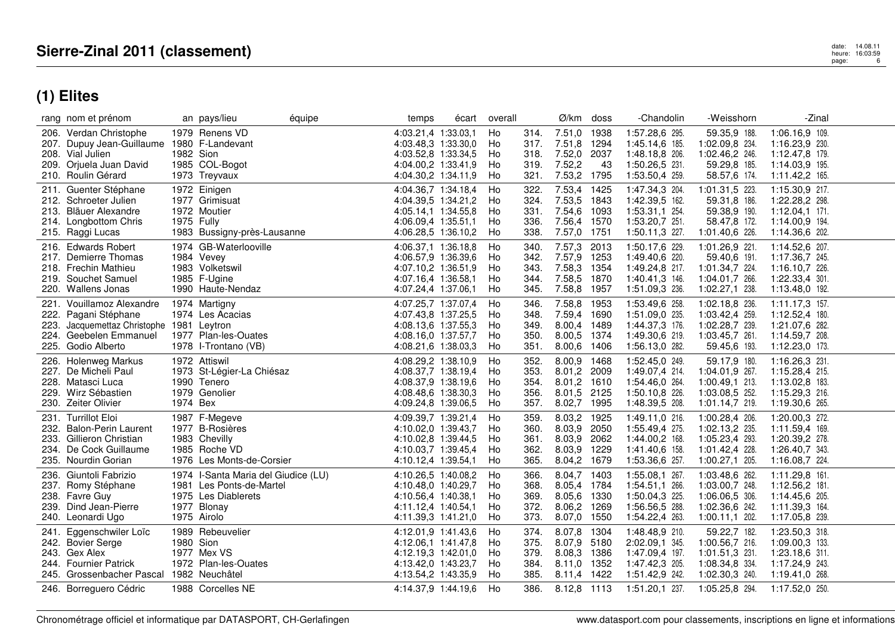|              | rang nom et prénom                                                                                                                   |            | an pays/lieu                                                                                                         | équipe | temps                                                                                                           | écart | overall                    |                                      | Ø/km                                                                    | doss                         | -Chandolin                                                                             | -Weisshorn                                                                               | -Zinal                                                                                   |  |
|--------------|--------------------------------------------------------------------------------------------------------------------------------------|------------|----------------------------------------------------------------------------------------------------------------------|--------|-----------------------------------------------------------------------------------------------------------------|-------|----------------------------|--------------------------------------|-------------------------------------------------------------------------|------------------------------|----------------------------------------------------------------------------------------|------------------------------------------------------------------------------------------|------------------------------------------------------------------------------------------|--|
|              | 206. Verdan Christophe<br>207. Dupuy Jean-Guillaume<br>208. Vial Julien<br>209. Orjuela Juan David<br>210. Roulin Gérard             | 1982 Sion  | 1979 Renens VD<br>1980 F-Landevant<br>1985 COL-Bogot<br>1973 Treyvaux                                                |        | 4:03.21,4 1:33.03,1<br>4:03.48,3 1:33.30,0<br>4:03.52,8 1:33.34,5<br>4:04.00,2 1:33.41,9<br>4:04.30,2 1:34.11,9 |       | Ho<br>Ho<br>Ho<br>Ho<br>Ho | 314.<br>317.<br>318.<br>319.<br>321. | 7.51,0 1938<br>7.51,8 1294<br>7.52,0 2037<br>7.52,2<br>7.53,2 1795      | 43                           | 1:57.28,6 295.<br>1:45.14,6 185.<br>1:48.18,8 206.<br>1:50.26,5 231.<br>1:53.50,4 259. | 59.35,9 188.<br>1:02.09,8 234.<br>1:02.46,2 246.<br>59.29,8 185.<br>58.57,6 174.         | 1:06.16,9 109.<br>1:16.23,9 230.<br>1:12.47,8 179.<br>1:14.03,9 195.<br>1:11.42,2 165.   |  |
| 211.         | Guenter Stéphane<br>212. Schroeter Julien<br>213. Bläuer Alexandre<br>214. Longbottom Chris<br>215. Raggi Lucas                      | 1975 Fully | 1972 Einigen<br>1977 Grimisuat<br>1972 Moutier<br>1983 Bussigny-près-Lausanne                                        |        | 4:04.36,7 1:34.18,4<br>4:04.39,5 1:34.21,2<br>4:05.14,1 1:34.55,8<br>4:06.09,4 1:35.51,1<br>4:06.28,5 1:36.10,2 |       | Ho<br>Ho<br>Ho<br>Ho<br>Ho | 322.<br>324.<br>331.<br>336.<br>338. | 7.53,4 1425<br>7.53,5 1843<br>7.54,6 1093<br>7.56,4 1570<br>7.57,0 1751 |                              | 1:47.34,3 204.<br>1:42.39,5 162.<br>1:53.31,1 254.<br>1:53.20,7 251.<br>1:50.11,3 227. | 1:01.31,5 223.<br>59.31,8 186.<br>59.38,9 190.<br>58.47,8 172.<br>1:01.40,6 226.         | 1:15.30,9 217.<br>1:22.28,2 298.<br>$1:12.04,1$ 171.<br>1:14.00,9 194.<br>1:14.36,6 202. |  |
|              | 216. Edwards Robert<br>217. Demierre Thomas<br>218. Frechin Mathieu<br>219. Souchet Samuel<br>220. Wallens Jonas                     |            | 1974 GB-Waterlooville<br>1984 Vevey<br>1983 Volketswil<br>1985 F-Ugine<br>1990 Haute-Nendaz                          |        | 4:06.37,1 1:36.18,8<br>4:06.57,9 1:36.39,6<br>4:07.10,2 1:36.51,9<br>4:07.16,4 1:36.58,1<br>4:07.24,4 1:37.06,1 |       | Ho<br>Ho<br>Ho<br>Ho<br>Ho | 340.<br>342.<br>343.<br>344.<br>345. | 7.57,3<br>7.57,9 1253<br>7.58,3<br>7.58,5 1870<br>7.58,8 1957           | 2013<br>1354                 | 1:50.17,6 229.<br>1:49.40,6 220.<br>1:49.24,8 217.<br>1:40.41,3 146.<br>1:51.09,3 236. | 1:01.26,9 221.<br>59.40,6 191.<br>1:01.34,7 224.<br>1:04.01,7 266.<br>1:02.27,1 238.     | 1:14.52,6 207.<br>1:17.36,7 245.<br>1:16.10,7 226.<br>1:22.33,4 301.<br>1:13.48,0 192.   |  |
| 221.<br>223. | Vouillamoz Alexandre<br>222. Pagani Stéphane<br>Jacquemettaz Christophe 1981 Leytron<br>224. Geebelen Emmanuel<br>225. Godio Alberto |            | 1974 Martigny<br>1974 Les Acacias<br>1977 Plan-les-Ouates<br>1978 I-Trontano (VB)                                    |        | 4:07.25,7 1:37.07,4<br>4:07.43,8 1:37.25,5<br>4:08.13,6 1:37.55,3<br>4:08.16,0 1:37.57,7<br>4:08.21,6 1:38.03,3 |       | Ho<br>Ho<br>Ho<br>Ho<br>Ho | 346.<br>348.<br>349.<br>350.<br>351. | 7.58,8<br>7.59,4 1690<br>8.00,4<br>8.00,5<br>8.00,6                     | 1953<br>1489<br>1374<br>1406 | 1:53.49,6 258.<br>1:51.09,0 235.<br>1:44.37,3 176.<br>1:49.30,6 219.<br>1:56.13,0 282. | 1:02.18,8 236.<br>1:03.42,4 259.<br>1:02.28,7 239.<br>1:03.45,7 261.<br>59.45,6 193.     | 1:11.17,3 157.<br>1:12.52,4 180.<br>1:21.07,6 282.<br>1:14.59,7 208.<br>1:12.23,0 173.   |  |
|              | 226. Holenweg Markus<br>227. De Micheli Paul<br>228. Matasci Luca<br>229. Wirz Sébastien<br>230. Zeiter Olivier                      | 1974 Bex   | 1972 Attiswil<br>1973 St-Légier-La Chiésaz<br>1990 Tenero<br>1979 Genolier                                           |        | 4:08.29,2 1:38.10,9<br>4:08.37,7 1:38.19,4<br>4:08.37,9 1:38.19,6<br>4:08.48,6 1:38.30,3<br>4:09.24,8 1:39.06,5 |       | Ho<br>Ho<br>Ho<br>Ho<br>Ho | 352.<br>353.<br>354.<br>356.<br>357. | 8.00,9<br>8.01,2<br>8.01,2 1610<br>8.01,5<br>8.02,7                     | 1468<br>2009<br>2125<br>1995 | 1:52.45,0 249.<br>1:49.07.4 214.<br>1:54.46,0 264.<br>1:50.10,8 226.<br>1:48.39,5 208. | 59.17,9 180.<br>1:04.01.9 267.<br>1:00.49,1 213.<br>1:03.08,5 252.<br>1:01.14,7 219.     | 1:16.26,3 231.<br>1:15.28,4 215.<br>1:13.02,8 183.<br>1:15.29,3 216.<br>1:19.30,6 265.   |  |
| 234.         | 231. Turrillot Eloi<br>232. Balon-Perin Laurent<br>233. Gillieron Christian<br>De Cock Guillaume<br>235. Nourdin Gorian              |            | 1987 F-Megeve<br>1977 B-Rosières<br>1983 Chevilly<br>1985 Roche VD<br>1976 Les Monts-de-Corsier                      |        | 4:09.39,7 1:39.21,4<br>4:10.02,0 1:39.43,7<br>4:10.02,8 1:39.44,5<br>4:10.03,7 1:39.45,4<br>4:10.12,4 1:39.54,1 |       | Ho<br>Ho<br>Ho<br>Ho<br>Ho | 359.<br>360.<br>361.<br>362.<br>365. | 8.03,2<br>8.03,9<br>8.03,9<br>8.03,9<br>8.04,2 1679                     | 1925<br>2050<br>2062<br>1229 | 1:49.11,0 216.<br>1:55.49,4 275.<br>1:44.00,2 168.<br>1:41.40,6 158.<br>1:53.36,6 257. | 1:00.28,4 206.<br>1:02.13,2 235.<br>1:05.23,4 293.<br>1:01.42,4 228.<br>1:00.27,1 205.   | 1:20.00,3 272.<br>1:11.59,4 169.<br>1:20.39,2 278.<br>1:26.40,7 343.<br>1:16.08,7 224.   |  |
|              | 236. Giuntoli Fabrizio<br>237. Romy Stéphane<br>238. Favre Guy<br>239. Dind Jean-Pierre<br>240. Leonardi Ugo                         |            | 1974 I-Santa Maria del Giudice (LU)<br>1981 Les Ponts-de-Martel<br>1975 Les Diablerets<br>1977 Blonay<br>1975 Airolo |        | 4:10.26,5 1:40.08,2<br>4:10.48.0 1:40.29.7<br>4:10.56,4 1:40.38,1<br>4:11.12,4 1:40.54,1<br>4:11.39,3 1:41.21,0 |       | Ho<br>Ho<br>Ho<br>Ho<br>Ho | 366.<br>368.<br>369.<br>372.<br>373. | 8.04,7<br>8.05,4 1784<br>8.05,6 1330<br>8.06,2<br>8.07,0                | 1403<br>1269<br>1550         | 1:55.08,1 267.<br>1:54.51,1 266.<br>1:50.04,3 225.<br>1:56.56,5 288.<br>1:54.22,4 263. | 1:03.48,6 262.<br>1:03.00.7 248.<br>1:06.06,5 306.<br>1:02.36,6 242.<br>$1:00.11,1$ 202. | 1:11.29,8 161.<br>$1:12.56,2$ 181.<br>1:14.45,6 205.<br>1:11.39,3 164.<br>1:17.05,8 239. |  |
| 241.         | Eggenschwiler Loïc<br>242. Bovier Serge<br>243. Gex Alex<br>244. Fournier Patrick<br>245. Grossenbacher Pascal                       | 1980 Sion  | 1989 Rebeuvelier<br>1977 Mex VS<br>1972 Plan-les-Ouates<br>1982 Neuchâtel                                            |        | 4:12.01,9 1:41.43,6<br>4:12.06,1 1:41.47,8<br>4:12.19,3 1:42.01,0<br>4:13.42.0 1:43.23.7<br>4:13.54,2 1:43.35,9 |       | Ho<br>Ho<br>Ho<br>Ho<br>Ho | 374.<br>375.<br>379.<br>384.<br>385. | 8.07,8<br>8.07,9<br>8.08,3 1386<br>8.11.0 1352<br>8.11,4 1422           | 1304<br>5180                 | 1:48.48,9 210.<br>2:02.09,1 345.<br>1:47.09,4 197.<br>1:47.42,3 205.<br>1:51.42,9 242. | 59.22,7 182.<br>1:00.56,7 216.<br>1:01.51,3 231.<br>1:08.34,8 334.<br>1:02.30,3 240.     | 1:23.50,3 318.<br>1:09.00,3 133.<br>1:23.18,6 311.<br>1:17.24,9 243.<br>1:19.41,0 268.   |  |
|              | 246. Borreguero Cédric                                                                                                               |            | 1988 Corcelles NE                                                                                                    |        | 4:14.37.9 1:44.19.6                                                                                             |       | Ho                         | 386.                                 | 8.12.8 1113                                                             |                              | 1:51.20,1 237.                                                                         | 1:05.25,8 294.                                                                           | 1:17.52,0 250.                                                                           |  |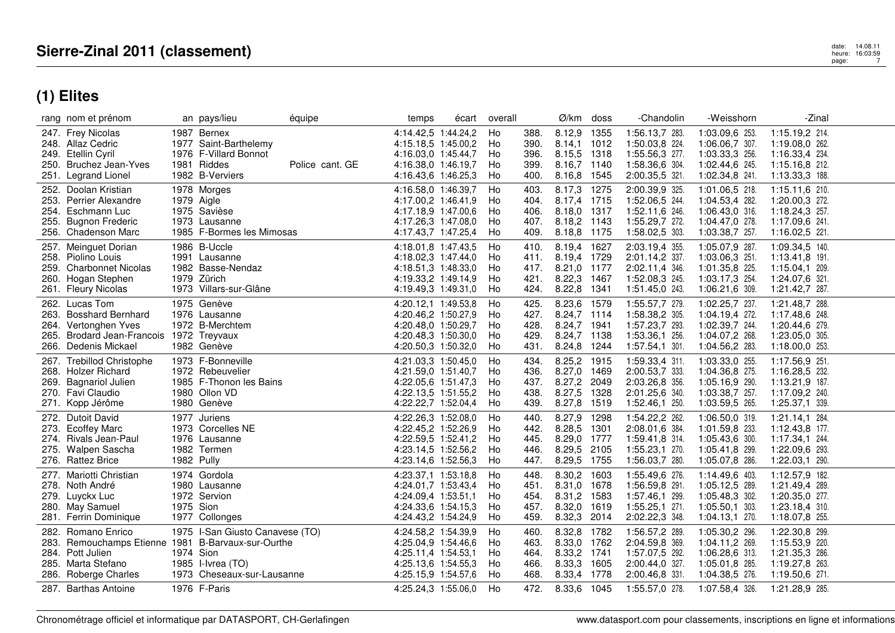|      | rang nom et prénom                                                                                                     |            | an pays/lieu                                                                                                    | équipe          | temps                                                                                                           | écart | overall                    |                                      | Ø/km                                                                    | doss                         | -Chandolin                                                                             | -Weisshorn                                                                             | -Zinal                                                                                   |  |
|------|------------------------------------------------------------------------------------------------------------------------|------------|-----------------------------------------------------------------------------------------------------------------|-----------------|-----------------------------------------------------------------------------------------------------------------|-------|----------------------------|--------------------------------------|-------------------------------------------------------------------------|------------------------------|----------------------------------------------------------------------------------------|----------------------------------------------------------------------------------------|------------------------------------------------------------------------------------------|--|
|      | 247. Frey Nicolas<br>248. Allaz Cedric<br>249. Etellin Cyril<br>250. Bruchez Jean-Yves<br>251. Legrand Lionel          |            | 1987 Bernex<br>1977 Saint-Barthelemy<br>1976 F-Villard Bonnot<br>1981 Riddes<br>1982 B-Verviers                 | Police cant. GE | 4:14.42,5 1:44.24,2<br>4:15.18,5 1:45.00,2<br>4:16.03,0 1:45.44,7<br>4:16.38.0 1:46.19.7<br>4:16.43,6 1:46.25,3 |       | Ho<br>Ho<br>Ho<br>Ho<br>Ho | 388.<br>390.<br>396.<br>399.<br>400. | 8.12,9<br>8.14,1<br>8.15,5 1318<br>8.16,7 1140<br>8.16,8 1545           | 1355<br>1012                 | 1:56.13,7 283.<br>1:50.03,8 224.<br>1:55.56,3 277.<br>1:58.36,6 304.<br>2:00.35,5 321. | 1:03.09,6 253.<br>1:06.06,7 307.<br>1:03.33,3 256.<br>1:02.44,6 245.<br>1:02.34,8 241. | 1:15.19,2 214.<br>1:19.08,0 262.<br>1:16.33,4 234.<br>1:15.16,8 212.<br>1:13.33,3 188.   |  |
|      | 252. Doolan Kristian<br>253. Perrier Alexandre<br>254. Eschmann Luc<br>255. Bugnon Frederic<br>256. Chadenson Marc     |            | 1978 Morges<br>1979 Aigle<br>1975 Savièse<br>1973 Lausanne<br>1985 F-Bormes les Mimosas                         |                 | 4:16.58.0 1:46.39.7<br>4:17.00.2 1:46.41.9<br>4:17.18,9 1:47.00,6<br>4:17.26,3 1:47.08,0<br>4:17.43.7 1:47.25.4 |       | Ho<br>Ho<br>Ho<br>Ho<br>Ho | 403.<br>404.<br>406.<br>407.<br>409. | 8.17,3<br>8.17,4 1715<br>8.18,0 1317<br>8.18,2 1143<br>8.18.8 1175      | 1275                         | 2:00.39,9 325.<br>1:52.06,5 244.<br>1:52.11,6 246.<br>1:55.29,7 272.<br>1:58.02,5 303. | 1:01.06,5 218.<br>1:04.53,4 282.<br>1:06.43,0 316.<br>1:04.47,0 278.<br>1:03.38,7 257. | 1:15.11,6 210.<br>1:20.00,3 272.<br>1:18.24,3 257.<br>1:17.09,6 241.<br>1:16.02,5 221.   |  |
|      | 257. Meinguet Dorian<br>258. Piolino Louis<br>259. Charbonnet Nicolas<br>260. Hogan Stephen<br>261. Fleury Nicolas     |            | 1986 B-Uccle<br>1991 Lausanne<br>1982 Basse-Nendaz<br>1979 Zürich<br>1973 Villars-sur-Glâne                     |                 | 4:18.01,8 1:47.43,5<br>4:18.02,3 1:47.44,0<br>4:18.51.3 1:48.33.0<br>4:19.33,2 1:49.14,9<br>4:19.49,3 1:49.31,0 |       | Ho<br>Ho<br>Ho<br>Ho<br>Ho | 410.<br>411.<br>417.<br>421.<br>424. | 8.19.4 1627<br>8.19,4 1729<br>8.21,0 1177<br>8.22,3 1467<br>8.22,8 1341 |                              | 2:03.19,4 355.<br>2:01.14,2 337.<br>2:02.11,4 346.<br>1:52.08.3 245.<br>1:51.45,0 243. | 1:05.07,9 287.<br>1:03.06,3 251.<br>1:01.35,8 225.<br>1:03.17,3 254.<br>1:06.21,6 309. | 1:09.34,5 140.<br>1:13.41,8 191.<br>1:15.04,1 209.<br>1:24.07,6 321.<br>1:21.42,7 287.   |  |
|      | 262. Lucas Tom<br>263. Bosshard Bernhard<br>264. Vertonghen Yves<br>265. Brodard Jean-Francois<br>266. Dedenis Mickael |            | 1975 Genève<br>1976 Lausanne<br>1972 B-Merchtem<br>1972 Treyvaux<br>1982 Genève                                 |                 | 4:20.12,1 1:49.53,8<br>4:20.46,2 1:50.27,9<br>4:20.48.0 1:50.29.7<br>4:20.48,3 1:50.30,0<br>4:20.50,3 1:50.32,0 |       | Ho<br>Ho<br>Ho<br>Ho<br>Ho | 425.<br>427.<br>428.<br>429.<br>431. | 8.23,6 1579<br>8.24,7 1114<br>8.24,7 1941<br>8.24,7 1138<br>8.24,8      | 1244                         | 1:55.57,7 279.<br>1:58.38,2 305.<br>1:57.23,7 293.<br>1:53.36,1 256.<br>1:57.54,1 301. | 1:02.25,7 237.<br>1:04.19,4 272.<br>1:02.39,7 244.<br>1:04.07,2 268.<br>1:04.56,2 283. | 1:21.48,7 288.<br>1:17.48,6 248.<br>1:20.44,6 279.<br>1:23.05,0 305.<br>$1:18.00,0$ 253. |  |
|      | 267. Trebillod Christophe<br>268. Holzer Richard<br>269. Bagnariol Julien<br>270. Favi Claudio<br>271. Kopp Jérôme     |            | 1973 F-Bonneville<br>1972 Rebeuvelier<br>1985 F-Thonon les Bains<br>1980 Ollon VD<br>1980 Genève                |                 | 4:21.03.3 1:50.45.0<br>4:21.59,0 1:51.40,7<br>4:22.05.6 1:51.47.3<br>4:22.13,5 1:51.55,2<br>4:22.22,7 1:52.04,4 |       | Ho<br>Ho<br>Ho<br>Ho<br>Ho | 434.<br>436.<br>437.<br>438.<br>439. | 8.25,2 1915<br>8.27,0<br>8.27,2<br>8.27,5<br>8.27,8                     | 1469<br>2049<br>1328<br>1519 | 1:59.33,4 311.<br>2:00.53,7 333.<br>2:03.26,8 356.<br>2:01.25,6 340.<br>1:52.46,1 250. | 1:03.33,0 255.<br>1:04.36,8 275.<br>1:05.16,9 290.<br>1:03.38,7 257.<br>1:03.59,5 265. | 1:17.56,9 251.<br>1:16.28,5 232.<br>1:13.21,9 187.<br>1:17.09,2 240.<br>1:25.37,1 339.   |  |
| 273. | 272. Dutoit David<br><b>Ecoffey Marc</b><br>274. Rivals Jean-Paul<br>275. Walpen Sascha<br>276. Rattez Brice           | 1982 Pully | 1977 Juriens<br>1973 Corcelles NE<br>1976 Lausanne<br>1982 Termen                                               |                 | 4:22.26,3 1:52.08,0<br>4:22.45,2 1:52.26,9<br>4:22.59,5 1:52.41,2<br>4:23.14.5 1:52.56.2<br>4:23.14,6 1:52.56,3 |       | Ho<br>Ho<br>Ho<br>Ho<br>Ho | 440.<br>442.<br>445.<br>446.<br>447. | 8.27,9<br>8.28,5<br>8.29,0 1777<br>8.29,5<br>8.29,5 1755                | 1298<br>1301<br>2105         | 1:54.22,2 262.<br>2:08.01,6 384.<br>1:59.41,8 314.<br>1:55.23,1 270.<br>1:56.03,7 280. | 1:06.50,0 319.<br>1:01.59,8 233.<br>1:05.43,6 300.<br>1:05.41,8 299.<br>1:05.07,8 286. | 1:21.14,1 284.<br>1:12.43,8 177.<br>1:17.34,1 244.<br>1:22.09,6 293.<br>1:22.03,1 290.   |  |
|      | 277. Mariotti Christian<br>278. Noth André<br>279. Luyckx Luc<br>280. May Samuel<br>281. Ferrin Dominique              | 1975 Sion  | 1974 Gordola<br>1980 Lausanne<br>1972 Servion<br>1977 Collonges                                                 |                 | 4:23.37,1 1:53.18,8<br>4:24.01.7 1:53.43.4<br>4:24.09,4 1:53.51,1<br>4:24.33,6 1:54.15,3<br>4:24.43,2 1:54.24,9 |       | Ho<br>Ho<br>Ho<br>Ho<br>Ho | 448.<br>451.<br>454.<br>457.<br>459. | 8.30,2<br>8.31,0 1678<br>8.31,2 1583<br>8.32,0<br>8.32,3                | 1603<br>1619<br>2014         | 1:55.49,6 276.<br>1:56.59.8 291.<br>1:57.46,1 299.<br>1:55.25,1 271.<br>2:02.22,3 348. | 1:14.49,6 403.<br>1:05.12,5 289.<br>1:05.48,3 302.<br>1:05.50.1 303.<br>1:04.13,1 270. | 1:12.57,9 182.<br>1:21.49,4 289.<br>1:20.35,0 277.<br>1:23.18,4 310.<br>1:18.07,8 255.   |  |
| 282. | Romano Enrico<br>283. Remouchamps Etienne<br>284. Pott Julien<br>285. Marta Stefano<br>286. Roberge Charles            | 1974 Sion  | 1975 I-San Giusto Canavese (TO)<br>1981 B-Barvaux-sur-Ourthe<br>1985 I-Ivrea (TO)<br>1973 Cheseaux-sur-Lausanne |                 | 4:24.58,2 1:54.39,9<br>4:25.04,9 1:54.46,6<br>4:25.11.4 1:54.53.1<br>4:25.13,6 1:54.55,3<br>4:25.15,9 1:54.57,6 |       | Ho<br>Ho<br>Ho<br>Ho<br>Ho | 460.<br>463.<br>464.<br>466.<br>468. | 8.32,8<br>8.33,0 1762<br>8.33,2 1741<br>8.33,3<br>8.33,4 1778           | 1782<br>1605                 | 1:56.57,2 289.<br>2:04.59,8 369.<br>1:57.07,5 292.<br>2:00.44,0 327.<br>2:00.46,8 331. | 1:05.30,2 296.<br>1:04.11,2 269.<br>1:06.28,6 313.<br>1:05.01,8 285.<br>1:04.38,5 276. | 1:22.30,8 299.<br>1:15.53,9 220.<br>1:21.35,3 286.<br>1:19.27,8 263.<br>1:19.50,6 271.   |  |
|      | 287. Barthas Antoine                                                                                                   |            | 1976 F-Paris                                                                                                    |                 | 4:25.24,3 1:55.06,0                                                                                             |       | Ho                         | 472.                                 | 8.33,6 1045                                                             |                              | 1:55.57,0 278.                                                                         | 1:07.58,4 326.                                                                         | 1:21.28,9 285.                                                                           |  |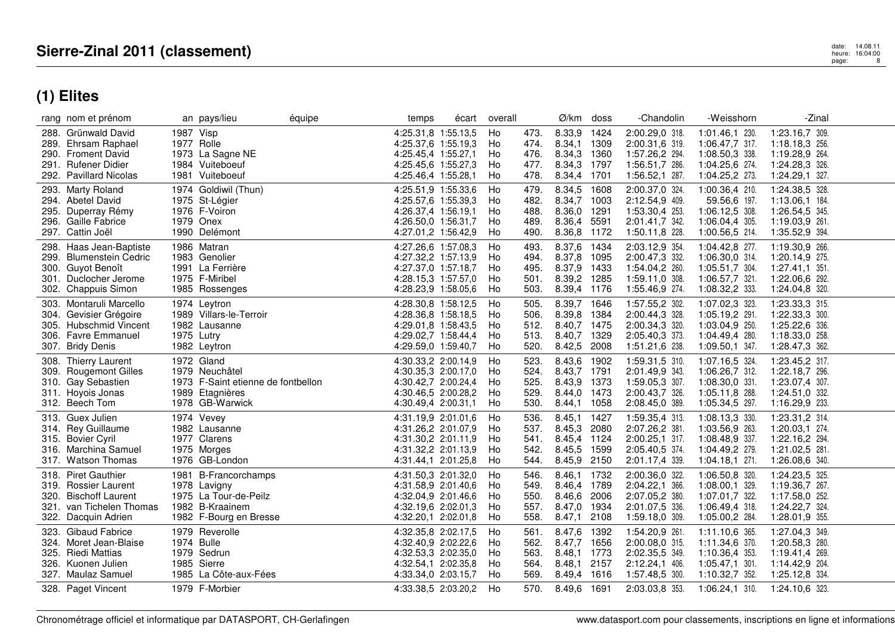|      | rang nom et prénom       |            | an pays/lieu                       | équipe | temps               | écart | overall |      | Ø/km        | doss | -Chandolin     | -Weisshorn       | -Zinal         |  |
|------|--------------------------|------------|------------------------------------|--------|---------------------|-------|---------|------|-------------|------|----------------|------------------|----------------|--|
|      | 288. Grünwald David      | 1987 Visp  |                                    |        | 4:25.31,8 1:55.13,5 |       | Ho      | 473. | 8.33,9      | 1424 | 2:00.29,0 318. | 1:01.46,1 230.   | 1:23.16,7 309. |  |
|      | 289. Ehrsam Raphael      |            | 1977 Rolle                         |        | 4:25.37,6 1:55.19,3 |       | Ho      | 474. | 8.34,1 1309 |      | 2:00.31,6 319. | 1:06.47,7 317.   | 1:18.18,3 256. |  |
| 290. | <b>Froment David</b>     |            | 1973 La Sagne NE                   |        | 4:25.45,4 1:55.27,1 |       | Ho      | 476. | 8.34,3 1360 |      | 1:57.26,2 294. | 1:08.50,3 338.   | 1:19.28,9 264. |  |
| 291. | Rufener Didier           |            | 1984 Vuiteboeuf                    |        | 4:25.45,6 1:55.27,3 |       | Ho      | 477. | 8.34,3 1797 |      | 1:56.51,7 286. | 1:04.25,6 274.   | 1:24.28,3 326. |  |
|      | 292. Pavillard Nicolas   |            | 1981 Vuiteboeuf                    |        | 4:25.46,4 1:55.28,1 |       | Ho      | 478. | 8.34,4 1701 |      | 1:56.52,1 287. | 1:04.25,2 273.   | 1:24.29,1 327. |  |
|      | 293. Marty Roland        |            | 1974 Goldiwil (Thun)               |        | 4:25.51,9 1:55.33,6 |       | Ho      | 479. | 8.34,5      | 1608 | 2:00.37,0 324. | 1:00.36,4 210.   | 1:24.38,5 328. |  |
|      | 294. Abetel David        |            | 1975 St-Légier                     |        | 4:25.57,6 1:55.39,3 |       | Ho      | 482. | 8.34,7 1003 |      | 2:12.54,9 409. | 59.56,6 197.     | 1:13.06,1 184. |  |
| 295. | Duperray Rémy            |            | 1976 F-Voiron                      |        | 4:26.37.4 1:56.19.1 |       | Ho      | 488. | 8.36,0 1291 |      | 1:53.30,4 253. | 1:06.12,5 308.   | 1:26.54,5 345. |  |
| 296. | Gaille Fabrice           |            | 1979 Onex                          |        | 4:26.50,0 1:56.31,7 |       | Ho      | 489. | 8.36,4 5591 |      | 2:01.41,7 342. | 1:06.04,4 305.   | 1:19.03,9 261. |  |
|      | 297. Cattin Joël         |            | 1990 Delémont                      |        | 4:27.01,2 1:56.42,9 |       | Ho      | 490. | 8.36,8 1172 |      | 1:50.11,8 228. | 1:00.56,5 214.   | 1:35.52,9 394. |  |
| 298. | Haas Jean-Baptiste       |            | 1986 Matran                        |        | 4:27.26.6 1:57.08.3 |       | Ho      | 493. | 8.37,6      | 1434 | 2:03.12,9 354. | 1:04.42,8 277.   | 1:19.30,9 266. |  |
|      | 299. Blumenstein Cedric  |            | 1983 Genolier                      |        | 4:27.32,2 1:57.13,9 |       | Ho      | 494. | 8.37,8      | 1095 | 2:00.47,3 332. | 1:06.30,0 314.   | 1:20.14,9 275. |  |
| 300. | Guyot Benoît             |            | 1991 La Ferrière                   |        | 4:27.37,0 1:57.18,7 |       | Ho      | 495. | 8.37,9 1433 |      | 1:54.04,2 260. | 1:05.51,7 304.   | 1:27.41,1 351. |  |
|      | 301. Duclocher Jerome    |            | 1975 F-Miribel                     |        | 4:28.15.3 1:57.57.0 |       | Ho      | 501. | 8.39,2 1285 |      | 1:59.11,0 308. | 1:06.57,7 321.   | 1:22.06,6 292. |  |
| 302. | <b>Chappuis Simon</b>    |            | 1985 Rossenges                     |        | 4:28.23,9 1:58.05,6 |       | Ho      | 503. | 8.39,4 1176 |      | 1:55.46,9 274. | 1:08.32,2 333.   | 1:24.04,8 320. |  |
| 303. | Montaruli Marcello       |            | 1974 Leytron                       |        | 4:28.30,8 1:58.12,5 |       | Ho      | 505. | 8.39,7 1646 |      | 1:57.55,2 302. | 1:07.02,3 323.   | 1:23.33,3 315. |  |
| 304. | Gevisier Grégoire        |            | 1989 Villars-le-Terroir            |        | 4:28.36,8 1:58.18,5 |       | Ho      | 506. | 8.39,8 1384 |      | 2:00.44,3 328. | 1:05.19,2 291.   | 1:22.33,3 300. |  |
| 305. | <b>Hubschmid Vincent</b> |            | 1982 Lausanne                      |        | 4:29.01.8 1:58.43.5 |       | Ho      | 512. | 8.40,7 1475 |      | 2:00.34,3 320. | 1:03.04,9 250.   | 1:25.22,6 336. |  |
|      | 306. Favre Emmanuel      | 1975 Lutry |                                    |        | 4:29.02,7 1:58.44,4 |       | Ho      | 513. | 8.40,7 1329 |      | 2:05.40,3 373. | 1:04.49,4 280.   | 1:18.33,0 258. |  |
|      | 307. Bridy Denis         |            | 1982 Leytron                       |        | 4:29.59,0 1:59.40,7 |       | Ho      | 520. | 8.42,5 2008 |      | 1:51.21,6 238. | 1:09.50,1 347.   | 1:28.47,3 362. |  |
| 308. | <b>Thierry Laurent</b>   |            | 1972 Gland                         |        | 4:30.33,2 2:00.14,9 |       | Ho      | 523. | 8.43,6 1902 |      | 1:59.31,5 310. | 1:07.16,5 324.   | 1:23.45,2 317. |  |
| 309. | <b>Rougemont Gilles</b>  |            | 1979 Neuchâtel                     |        | 4:30.35,3 2:00.17,0 |       | Ho      | 524. | 8.43,7 1791 |      | 2:01.49,9 343. | 1:06.26,7 312.   | 1:22.18,7 296. |  |
| 310. | Gay Sebastien            |            | 1973 F-Saint etienne de fontbellon |        | 4:30.42.7 2:00.24.4 |       | Ho      | 525. | 8.43,9 1373 |      | 1:59.05,3 307. | 1:08.30,0 331.   | 1:23.07,4 307. |  |
|      | 311. Hoyois Jonas        |            | 1989 Etagnières                    |        | 4:30.46.5 2:00.28.2 |       | Ho      | 529. | 8.44,0 1473 |      | 2:00.43,7 326. | 1:05.11,8 288.   | 1:24.51,0 332. |  |
|      | 312. Beech Tom           |            | 1978 GB-Warwick                    |        | 4:30.49,4 2:00.31,1 |       | Ho      | 530. | 8.44,1 1058 |      | 2:08.45,0 389. | 1:05.34,5 297.   | 1:16.29,9 233. |  |
|      | 313. Guex Julien         |            | 1974 Vevey                         |        | 4:31.19,9 2:01.01,6 |       | Ho      | 536. | 8.45,1 1427 |      | 1:59.35,4 313. | 1:08.13,3 330.   | 1:23.31,2 314. |  |
|      | 314. Rey Guillaume       |            | 1982 Lausanne                      |        | 4:31.26,2 2:01.07,9 |       | Ho      | 537. | 8.45,3 2080 |      | 2:07.26,2 381. | 1:03.56,9 263.   | 1:20.03.1 274. |  |
|      | 315. Bovier Cyril        |            | 1977 Clarens                       |        | 4:31.30,2 2:01.11,9 |       | Ho      | 541. | 8.45,4 1124 |      | 2:00.25,1 317. | 1:08.48.9 337.   | 1:22.16,2 294. |  |
| 316. | Marchina Samuel          |            | 1975 Morges                        |        | 4:31.32,2 2:01.13,9 |       | Ho      | 542. | 8.45,5 1599 |      | 2:05.40,5 374. | 1:04.49,2 279.   | 1:21.02,5 281. |  |
|      | 317. Watson Thomas       |            | 1976 GB-London                     |        | 4:31.44,1 2:01.25,8 |       | Ho      | 544. | 8.45,9 2150 |      | 2:01.17,4 339. | $1:04.18,1$ 271. | 1:26.08,6 340. |  |
| 318. | <b>Piret Gauthier</b>    |            | 1981 B-Francorchamps               |        | 4:31.50,3 2:01.32,0 |       | Ho      | 546. | 8.46,1      | 1732 | 2:00.36,0 322. | 1:06.50,8 320.   | 1:24.23,5 325. |  |
|      | 319. Rossier Laurent     |            | 1978 Lavigny                       |        | 4:31.58,9 2:01.40,6 |       | Ho      | 549. | 8.46,4 1789 |      | 2:04.22,1 366. | 1:08.00,1 329.   | 1:19.36,7 267. |  |
| 320. | <b>Bischoff Laurent</b>  |            | 1975 La Tour-de-Peilz              |        | 4:32.04,9 2:01.46,6 |       | Ho      | 550. | 8.46,6      | 2006 | 2:07.05,2 380. | 1:07.01,7 322.   | 1:17.58,0 252. |  |
|      | 321. van Tichelen Thomas |            | 1982 B-Kraainem                    |        | 4:32.19.6 2:02.01.3 |       | Ho      | 557. | 8.47,0      | 1934 | 2:01.07.5 336. | 1:06.49,4 318.   | 1:24.22,7 324. |  |
|      | 322. Dacquin Adrien      |            | 1982 F-Bourg en Bresse             |        | 4:32.20,1 2:02.01,8 |       | Ho      | 558. | 8.47,1      | 2108 | 1:59.18,0 309. | 1:05.00,2 284.   | 1:28.01,9 355. |  |
| 323. | <b>Gibaud Fabrice</b>    |            | 1979 Reverolle                     |        | 4:32.35,8 2:02.17,5 |       | Ho      | 561. | 8.47,6      | 1392 | 1:54.20,9 261. | 1:11.10,6 365.   | 1:27.04.3 349. |  |
|      | 324. Moret Jean-Blaise   |            | 1974 Bulle                         |        | 4:32.40,9 2:02.22,6 |       | Ho      | 562. | 8.47,7 1656 |      | 2:00.08,0 315. | 1:11.34,6 370.   | 1:20.58,3 280. |  |
| 325. | Riedi Mattias            |            | 1979 Sedrun                        |        | 4:32.53.3 2:02.35.0 |       | Ho      | 563. | 8.48,1 1773 |      | 2:02.35,5 349. | 1:10.36,4 353.   | 1:19.41,4 269. |  |
| 326. | Kuonen Julien            |            | 1985 Sierre                        |        | 4:32.54,1 2:02.35,8 |       | Ho      | 564. | 8.48,1 2157 |      | 2:12.24,1 406. | 1:05.47,1 301.   | 1:14.42,9 204. |  |
|      | 327. Maulaz Samuel       |            | 1985 La Côte-aux-Fées              |        | 4:33.34,0 2:03.15,7 |       | Ho      | 569. | 8.49,4 1616 |      | 1:57.48,5 300. | 1:10.32,7 352.   | 1:25.12,8 334. |  |
|      | 328. Paget Vincent       |            | 1979 F-Morbier                     |        | 4:33.38.5 2:03.20.2 |       | Ho      | 570. | 8.49,6 1691 |      | 2:03.03.8 353. | $1:06.24,1$ 310. | 1:24.10.6 323. |  |
|      |                          |            |                                    |        |                     |       |         |      |             |      |                |                  |                |  |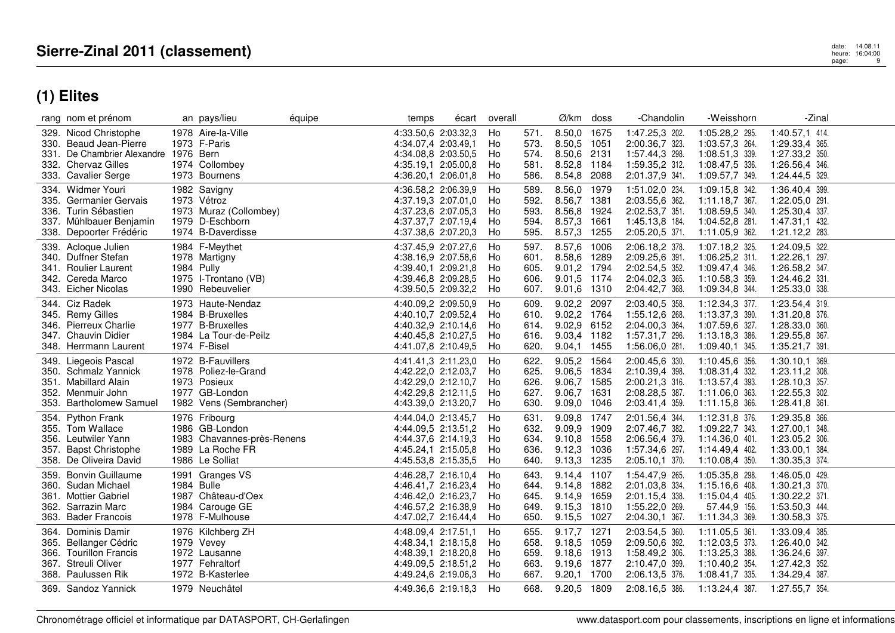|      | rang nom et prénom                                                                                                                     | an pays/lieu                                                                                           | équipe | temps                                                                                                           | écart | overall                    |                                      | $\varnothing$ /km doss                                                  |              | -Chandolin                                                                             | -Weisshorn                                                                               | -Zinal                                                                                 |  |
|------|----------------------------------------------------------------------------------------------------------------------------------------|--------------------------------------------------------------------------------------------------------|--------|-----------------------------------------------------------------------------------------------------------------|-------|----------------------------|--------------------------------------|-------------------------------------------------------------------------|--------------|----------------------------------------------------------------------------------------|------------------------------------------------------------------------------------------|----------------------------------------------------------------------------------------|--|
|      | 329. Nicod Christophe<br>330. Beaud Jean-Pierre<br>331. De Chambrier Alexandre 1976 Bern<br>332. Chervaz Gilles<br>333. Cavalier Serge | 1978 Aire-la-Ville<br>1973 F-Paris<br>1974 Collombey<br>1973 Bournens                                  |        | 4:33.50,6 2:03.32,3<br>4:34.07.4 2:03.49.1<br>4:34.08,8 2:03.50,5<br>4:35.19,1 2:05.00,8<br>4:36.20,1 2:06.01,8 |       | Ho<br>Ho<br>Ho<br>Ho<br>Ho | 571.<br>573.<br>574.<br>581.<br>586. | 8.50,0 1675<br>8.50,5 1051<br>8.50,6 2131<br>8.52,8<br>8.54,8 2088      | 1184         | 1:47.25,3 202.<br>2:00.36,7 323.<br>1:57.44,3 298.<br>1:59.35,2 312.<br>2:01.37,9 341. | 1:05.28,2 295.<br>1:03.57,3 264.<br>1:08.51,3 339.<br>1:08.47,5 336.<br>1:09.57,7 349.   | 1:40.57,1 414.<br>1:29.33,4 365.<br>1:27.33,2 350.<br>1:26.56,4 346.<br>1:24.44,5 329. |  |
| 334. | Widmer Youri<br>335. Germanier Gervais<br>336. Turin Sébastien<br>337. Mühlbauer Benjamin<br>338. Depoorter Frédéric                   | 1982 Savigny<br>1973 Vétroz<br>1973 Muraz (Collombey)<br>1979 D-Eschborn<br>1974 B-Daverdisse          |        | 4:36.58,2 2:06.39,9<br>4:37.19,3 2:07.01,0<br>4:37.23,6 2:07.05,3<br>4:37.37,7 2:07.19,4<br>4:37.38,6 2:07.20,3 |       | Ho<br>Ho<br>Ho<br>Ho<br>Ho | 589.<br>592.<br>593.<br>594.<br>595. | 8.56,0<br>8.56,7 1381<br>8.56,8 1924<br>8.57,3 1661<br>8.57,3           | 1979<br>1255 | 1:51.02,0 234.<br>2:03.55,6 362.<br>2:02.53,7 351.<br>1:45.13,8 184.<br>2:05.20,5 371. | 1:09.15,8 342.<br>$1:11.18,7$ 367.<br>1:08.59,5 340.<br>1:04.52,8 281.<br>1:11.05,9 362. | 1:36.40,4 399.<br>1:22.05,0 291.<br>1:25.30,4 337.<br>1:47.31,1 432.<br>1:21.12,2 283. |  |
|      | 339. Acloque Julien<br>340. Duffner Stefan<br>341. Roulier Laurent<br>342. Cereda Marco<br>343. Eicher Nicolas                         | 1984 F-Meythet<br>1978 Martigny<br>1984 Pully<br>1975 I-Trontano (VB)<br>1990 Rebeuvelier              |        | 4:37.45,9 2:07.27,6<br>4:38.16,9 2:07.58,6<br>4:39.40,1 2:09.21,8<br>4:39.46,8 2:09.28,5<br>4:39.50,5 2:09.32,2 |       | Ho<br>Ho<br>Ho<br>Ho<br>Ho | 597.<br>601.<br>605.<br>606.<br>607. | 8.57,6<br>8.58,6 1289<br>9.01,2 1794<br>9.01.5 1174<br>9.01,6 1310      | 1006         | 2:06.18,2 378.<br>2:09.25,6 391.<br>2:02.54,5 352.<br>2:04.02,3 365.<br>2:04.42,7 368. | 1:07.18,2 325.<br>1:06.25,2 311.<br>1:09.47,4 346.<br>1:10.58,3 359.<br>1:09.34,8 344.   | 1:24.09,5 322.<br>1:22.26,1 297.<br>1:26.58,2 347.<br>1:24.46,2 331.<br>1:25.33,0 338. |  |
|      | 344. Ciz Radek<br>345. Remy Gilles<br>346. Pierreux Charlie<br>347. Chauvin Didier<br>348. Herrmann Laurent                            | 1973 Haute-Nendaz<br>1984 B-Bruxelles<br>1977 B-Bruxelles<br>1984 La Tour-de-Peilz<br>1974 F-Bisel     |        | 4:40.09,2 2:09.50,9<br>4:40.10,7 2:09.52,4<br>4:40.32,9 2:10.14,6<br>4:40.45,8 2:10.27,5<br>4:41.07,8 2:10.49,5 |       | Ho<br>Ho<br>Ho<br>Ho<br>Ho | 609.<br>610.<br>614.<br>616.<br>620. | 9.02,2<br>9.02,2 1764<br>9.02,9 6152<br>9.03,4 1182<br>9.04,1 1455      | 2097         | 2:03.40,5 358.<br>1:55.12,6 268.<br>2:04.00,3 364.<br>1:57.31,7 296.<br>1:56.06,0 281. | 1:12.34,3 377.<br>1:13.37,3 390.<br>1:07.59,6 327.<br>1:13.18,3 386.<br>1:09.40,1 345.   | 1:23.54,4 319.<br>1:31.20,8 376.<br>1:28.33,0 360.<br>1:29.55,8 367.<br>1:35.21,7 391. |  |
| 353. | 349. Liegeois Pascal<br>350. Schmalz Yannick<br>351. Mabillard Alain<br>352. Menmuir John<br><b>Bartholomew Samuel</b>                 | 1972 B-Fauvillers<br>1978 Poliez-le-Grand<br>1973 Posieux<br>1977 GB-London<br>1982 Vens (Sembrancher) |        | 4:41.41,3 2:11.23,0<br>4:42.22,0 2:12.03,7<br>4:42.29,0 2:12.10,7<br>4:42.29,8 2:12.11,5<br>4:43.39,0 2:13.20,7 |       | Ho<br>Ho<br>Ho<br>Ho<br>Ho | 622.<br>625.<br>626.<br>627.<br>630. | 9.05,2 1564<br>9.06,5 1834<br>9.06,7 1585<br>9.06,7 1631<br>9.09.0 1046 |              | 2:00.45,6 330.<br>2:10.39,4 398.<br>2:00.21,3 316.<br>2:08.28,5 387.<br>2:03.41,4 359. | 1:10.45,6 356.<br>1:08.31,4 332.<br>1:13.57,4 393.<br>1:11.06,0 363.<br>1:11.15,8 366.   | 1:30.10,1 369.<br>1:23.11,2 308.<br>1:28.10,3 357.<br>1:22.55,3 302.<br>1:28.41,8 361. |  |
|      | 354. Python Frank<br>355. Tom Wallace<br>356. Leutwiler Yann<br>357. Bapst Christophe<br>358. De Oliveira David                        | 1976 Fribourg<br>1986 GB-London<br>1983 Chavannes-près-Renens<br>1989 La Roche FR<br>1986 Le Solliat   |        | 4:44.04,0 2:13.45,7<br>4:44.09,5 2:13.51,2<br>4:44.37,6 2:14.19,3<br>4:45.24,1 2:15.05,8<br>4:45.53,8 2:15.35,5 |       | Ho<br>Ho<br>Ho<br>Ho<br>Ho | 631.<br>632.<br>634.<br>636.<br>640. | 9.09,8 1747<br>9.09,9<br>9.10.8 1558<br>9.12,3<br>9.13,3 1235           | 1909<br>1036 | 2:01.56,4 344.<br>2:07.46,7 382.<br>2:06.56,4 379.<br>1:57.34,6 297.<br>2:05.10,1 370. | 1:12.31,8 376.<br>1:09.22,7 343.<br>1:14.36,0 401.<br>1:14.49,4 402.<br>1:10.08,4 350.   | 1:29.35,8 366.<br>1:27.00,1 348.<br>1:23.05,2 306.<br>1:33.00,1 384.<br>1:30.35,3 374. |  |
| 359. | <b>Bonvin Guillaume</b><br>360. Sudan Michael<br>361. Mottier Gabriel<br>362. Sarrazin Marc<br>363. Bader Francois                     | 1991 Granges VS<br>1984 Bulle<br>1987 Château-d'Oex<br>1984 Carouge GE<br>1978 F-Mulhouse              |        | 4:46.28,7 2:16.10,4<br>4:46.41,7 2:16.23,4<br>4:46.42,0 2:16.23,7<br>4:46.57,2 2:16.38,9<br>4:47.02,7 2:16.44,4 |       | Ho<br>Ho<br>Ho<br>Ho<br>Ho | 643.<br>644.<br>645.<br>649.<br>650. | 9.14,4 1107<br>9.14,8 1882<br>9.14,9 1659<br>9.15,3<br>9.15,5 1027      | 1810         | 1:54.47,9 265.<br>2:01.03,8 334.<br>2:01.15,4 338.<br>1:55.22,0 269.<br>2:04.30,1 367. | 1:05.35,8 298.<br>1:15.16,6 408.<br>1:15.04,4 405.<br>57.44,9 156.<br>1:11.34,3 369.     | 1:46.05,0 429.<br>1:30.21,3 370.<br>1:30.22,2 371.<br>1:53.50,3 444.<br>1:30.58,3 375. |  |
|      | 364. Dominis Damir<br>365. Bellanger Cédric<br>366. Tourillon Francis<br>367. Streuli Oliver<br>368. Paulussen Rik                     | 1976 Kilchberg ZH<br>1979 Vevey<br>1972 Lausanne<br>1977 Fehraltorf<br>1972 B-Kasterlee                |        | 4:48.09,4 2:17.51,1<br>4:48.34,1 2:18.15,8<br>4:48.39,1 2:18.20,8<br>4:49.09,5 2:18.51,2<br>4:49.24,6 2:19.06,3 |       | Ho<br>Ho<br>Ho<br>Ho<br>Ho | 655.<br>658.<br>659.<br>663.<br>667. | 9.17,7 1271<br>9.18.5 1059<br>9.18,6 1913<br>9.19,6 1877<br>9.20,1 1700 |              | 2:03.54,5 360.<br>2:09.50,6 392.<br>1:58.49,2 306.<br>2:10.47,0 399.<br>2:06.13,5 376. | 1:11.05,5 361.<br>1:12.03,5 373.<br>1:13.25,3 388.<br>1:10.40,2 354.<br>1:08.41,7 335.   | 1:33.09.4 385.<br>1:26.40.0 342.<br>1:36.24,6 397.<br>1:27.42,3 352.<br>1:34.29,4 387. |  |
|      | 369. Sandoz Yannick                                                                                                                    | 1979 Neuchâtel                                                                                         |        | 4:49.36,6 2:19.18,3                                                                                             |       | Ho                         | 668.                                 | 9.20,5 1809                                                             |              | 2:08.16,5 386.                                                                         | 1:13.24,4 387.                                                                           | 1:27.55,7 354.                                                                         |  |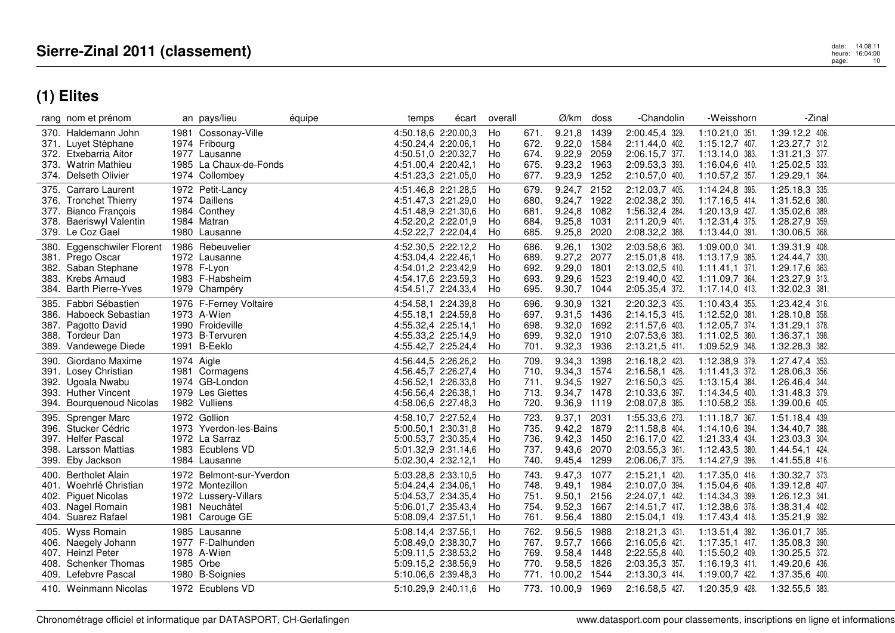|      | rang nom et prénom                                                                                                                    | an pays/lieu                                                                                              | équipe | temps                                                                                                                                  | écart | overall                          |                                      | Ø/km                                                                                | doss                 | -Chandolin                                                                                               | -Weisshorn                                                                                               | -Zinal                                                                                                   |  |
|------|---------------------------------------------------------------------------------------------------------------------------------------|-----------------------------------------------------------------------------------------------------------|--------|----------------------------------------------------------------------------------------------------------------------------------------|-------|----------------------------------|--------------------------------------|-------------------------------------------------------------------------------------|----------------------|----------------------------------------------------------------------------------------------------------|----------------------------------------------------------------------------------------------------------|----------------------------------------------------------------------------------------------------------|--|
|      | 370. Haldemann John<br>371. Luyet Stéphane<br>372. Etxebarria Aitor<br>373. Watrin Mathieu<br>374. Delseth Olivier                    | 1981 Cossonay-Ville<br>1974 Fribourg<br>1977 Lausanne<br>1985 La Chaux-de-Fonds<br>1974 Collombey         |        | 4:50.18,6 2:20.00,3<br>4:50.24,4 2:20.06,1<br>4:50.51,0 2:20.32,7<br>4:51.00.4 2:20.42.1<br>4:51.23,3 2:21.05,0                        |       | Ho<br>Ho<br>Ho<br>Ho<br>Ho       | 671.<br>672.<br>674.<br>675.<br>677. | 9.21,8<br>9.22,0 1584<br>9.22,9<br>9.23,2<br>9.23,9 1252                            | 1439<br>2059<br>1963 | 2:00.45,4 329.<br>2:11.44,0 402.<br>2:06.15,7 377.<br>2:09.53,3 393.<br>2:10.57,0 400.                   | 1:10.21,0 351.<br>1:15.12,7 407.<br>1:13.14,0 383.<br>1:16.04,6 410.<br>1:10.57,2 357.                   | 1:39.12,2 406.<br>1:23.27,7 312.<br>1:31.21,3 377.<br>1:25.02,5 333.<br>1:29.29,1 364.                   |  |
| 375. | Carraro Laurent<br>376. Tronchet Thierry<br>377. Bianco Francois<br>378. Baeriswyl Valentin<br>379. Le Coz Gael                       | 1972 Petit-Lancy<br>1974 Daillens<br>1984 Conthey<br>1984 Matran<br>1980 Lausanne                         |        | 4:51.46,8 2:21.28,5<br>4:51.47,3 2:21.29,0<br>4:51.48,9 2:21.30,6<br>4:52.20,2 2:22.01,9<br>4:52.22,7 2:22.04,4                        |       | Ho<br>Ho<br>Ho<br>Ho<br>Ho       | 679.<br>680.<br>681.<br>684.<br>685. | 9.24,7<br>9.24,7 1922<br>9.24,8 1082<br>9.25,8 1031<br>9.25,8                       | 2152<br>2020         | 2:12.03,7 405.<br>2:02.38,2 350.<br>1:56.32,4 284.<br>2:11.20,9 401.<br>2:08.32,2 388.                   | 1:14.24,8 395.<br>1:17.16,5 414.<br>1:20.13,9 427.<br>1:12.31,4 375.<br>1:13.44,0 391.                   | 1:25.18,3 335.<br>1:31.52,6 380.<br>1:35.02,6 389.<br>1:28.27,9 359.<br>1:30.06,5 368.                   |  |
| 380. | Eggenschwiler Florent<br>381. Prego Oscar<br>382. Saban Stephane<br>383. Krebs Arnaud<br>384. Barth Pierre-Yves                       | 1986 Rebeuvelier<br>1972 Lausanne<br>1978 F-Lyon<br>1983 F-Habsheim<br>1979 Champéry                      |        | 4:52.30.5 2:22.12.2<br>4:53.04,4 2:22.46,1<br>4:54.01,2 2:23.42,9<br>4:54.17,6 2:23.59,3<br>4:54.51,7 2:24.33,4                        |       | Ho<br>Ho<br>Ho<br>Ho<br>Ho       | 686.<br>689.<br>692.<br>693.<br>695. | 9.26,1<br>9.27,2 2077<br>9.29.0<br>9.29,6 1523<br>9.30,7 1044                       | 1302<br>1801         | 2:03.58,6 363.<br>2:15.01,8 418.<br>2:13.02,5 410.<br>2:19.40,0 432.<br>2:05.35,4 372.                   | 1:09.00,0 341.<br>1:13.17,9 385.<br>$1:11.41,1$ 371.<br>1:11.09,7 364.<br>$1:17.14,0$ 413.               | 1:39.31,9 408.<br>1:24.44,7 330.<br>1:29.17,6 363.<br>1:23.27,9 313.<br>1:32.02,3 381.                   |  |
|      | 385. Fabbri Sébastien<br>386. Haboeck Sebastian<br>387. Pagotto David<br>388. Tordeur Dan<br>389. Vandewege Diede                     | 1976 F-Ferney Voltaire<br>1973 A-Wien<br>1990 Froideville<br>1973 B-Tervuren<br>1991 B-Eeklo              |        | 4:54.58,1 2:24.39,8<br>4:55.18,1 2:24.59,8<br>4:55.32,4 2:25.14,1<br>4:55.33,2 2:25.14,9<br>4:55.42,7 2:25.24,4                        |       | Ho<br>Ho<br>Ho<br>Ho<br>Ho       | 696.<br>697.<br>698.<br>699.<br>701. | 9.30,9<br>9.31,5 1436<br>9.32,0 1692<br>9.32,0<br>9.32,3                            | 1321<br>1910<br>1936 | 2:20.32,3 435.<br>2:14.15,3 415.<br>2:11.57,6 403.<br>2:07.53,6 383.<br>2:13.21,5 411.                   | 1:10.43,4 355.<br>1:12.52,0 381.<br>1:12.05.7 374.<br>1:11.02,5 360.<br>1:09.52,9 348.                   | 1:23.42,4 316.<br>1:28.10,8 358.<br>1:31.29,1 378.<br>1:36.37,1 398.<br>1:32.28,3 382.                   |  |
| 390. | Giordano Maxime<br>391. Losey Christian<br>392. Ugoala Nwabu<br>393. Huther Vincent<br>394. Bourquenoud Nicolas                       | 1974 Aigle<br>1981 Cormagens<br>1974 GB-London<br>1979 Les Giettes<br>1982 Vulliens                       |        | 4:56.44,5 2:26.26,2<br>4:56.45,7 2:26.27,4<br>4:56.52,1 2:26.33,8<br>4:56.56,4 2:26.38,1<br>4:58.06,6 2:27.48,3                        |       | Ho<br>Ho<br>Ho<br>Ho<br>Ho       | 709.<br>710.<br>711.<br>713.<br>720. | 9.34,3 1398<br>9.34,3 1574<br>9.34,5 1927<br>9.34,7 1478<br>9.36,9                  | 1119                 | 2:16.18,2 423.<br>2:16.58,1 426.<br>2:16.50,3 425.<br>2:10.33,6 397.<br>2:08.07,8 385.                   | 1:12.38,9 379.<br>1:11.41,3 372.<br>1:13.15.4 384.<br>1:14.34,5 400.<br>1:10.58,2 358.                   | 1:27.47,4 353.<br>1:28.06,3 356.<br>1:26.46,4 344.<br>1:31.48,3 379.<br>1:39.00,6 405.                   |  |
| 395. | Sprenger Marc<br>396. Stucker Cédric<br>397. Helfer Pascal<br>398. Larsson Mattias<br>399. Eby Jackson                                | 1972 Gollion<br>1973 Yverdon-les-Bains<br>1972 La Sarraz<br>1983 Ecublens VD<br>1984 Lausanne             |        | 4:58.10.7 2:27.52.4<br>5:00.50,1 2:30.31,8<br>5:00.53,7 2:30.35,4<br>5:01.32,9 2:31.14,6<br>5:02.30,4 2:32.12,1                        |       | Ho<br>Ho<br>Ho<br>Ho<br>Ho       | 723.<br>735.<br>736.<br>737.<br>740. | 9.37,1<br>9.42,2<br>9.42,3 1450<br>9.43,6<br>9.45,4 1299                            | 2031<br>1879<br>2070 | 1:55.33,6 273.<br>2:11.58,8 404.<br>2:16.17,0 422.<br>2:03.55,3 361.<br>2:06.06,7 375.                   | 1:11.18,7 367.<br>1:14.10,6 394.<br>1:21.33,4 434.<br>1:12.43,5 380.<br>1:14.27,9 396.                   | 1:51.18,4 439.<br>1:34.40,7 388.<br>1:23.03,3 304.<br>1:44.54,1 424.<br>1:41.55,8 416.                   |  |
| 400. | <b>Bertholet Alain</b><br>401. Woehrlé Christian<br>402. Piguet Nicolas<br>403. Nagel Romain<br>404. Suarez Rafael                    | 1972 Belmont-sur-Yverdon<br>1972 Montezillon<br>1972 Lussery-Villars<br>1981 Neuchâtel<br>1981 Carouge GE |        | 5:03.28,8 2:33.10,5<br>5:04.24,4 2:34.06,1<br>5:04.53,7 2:34.35,4<br>5:06.01,7 2:35.43,4<br>5:08.09,4 2:37.51,1                        |       | Ho<br>Ho<br>Ho<br>Ho<br>Ho       | 743.<br>748.<br>751.<br>754.<br>761. | 9.47,3<br>9.49,1 1984<br>9.50,1<br>9.52,3<br>9.56,4 1880                            | 1077<br>2156<br>1667 | 2:15.21,1 420.<br>2:10.07,0 394.<br>2:24.07,1 442.<br>2:14.51,7 417.<br>2:15.04,1 419.                   | 1:17.35,0 416.<br>1:15.04,6 406.<br>1:14.34,3 399.<br>1:12.38,6 378.<br>1:17.43,4 418.                   | 1:30.32,7 373.<br>1:39.12,8 407.<br>1:26.12,3 341.<br>1:38.31,4 402.<br>1:35.21,9 392.                   |  |
|      | 405. Wyss Romain<br>406. Naegely Johann<br>407. Heinzl Peter<br>408. Schenker Thomas<br>409. Lefebvre Pascal<br>410. Weinmann Nicolas | 1985 Lausanne<br>1977 F-Dalhunden<br>1978 A-Wien<br>1985 Orbe<br>1980 B-Soignies<br>1972 Ecublens VD      |        | 5:08.14.4 2:37.56.1<br>5:08.49,0 2:38.30,7<br>5:09.11,5 2:38.53,2<br>5:09.15,2 2:38.56,9<br>5:10.06,6 2:39.48,3<br>5:10.29,9 2:40.11,6 |       | Ho<br>Ho<br>Ho<br>Ho<br>Ho<br>Ho | 762.<br>767.<br>769.<br>770.<br>771. | 9.56,5<br>9.57,7<br>9.58,4 1448<br>9.58,5 1826<br>10.00,2 1544<br>773. 10.00,9 1969 | 1988<br>1666         | 2:18.21,3 431.<br>2:16.05,6 421.<br>2:22.55,8 440.<br>2:03.35,3 357.<br>2:13.30,3 414.<br>2:16.58,5 427. | 1:13.51,4 392.<br>1:17.35,1 417.<br>1:15.50,2 409.<br>1:16.19,3 411.<br>1:19.00,7 422.<br>1:20.35,9 428. | 1:36.01.7 395.<br>1:35.08,3 390.<br>1:30.25,5 372.<br>1:49.20,6 436.<br>1:37.35,6 400.<br>1:32.55,5 383. |  |
|      |                                                                                                                                       |                                                                                                           |        |                                                                                                                                        |       |                                  |                                      |                                                                                     |                      |                                                                                                          |                                                                                                          |                                                                                                          |  |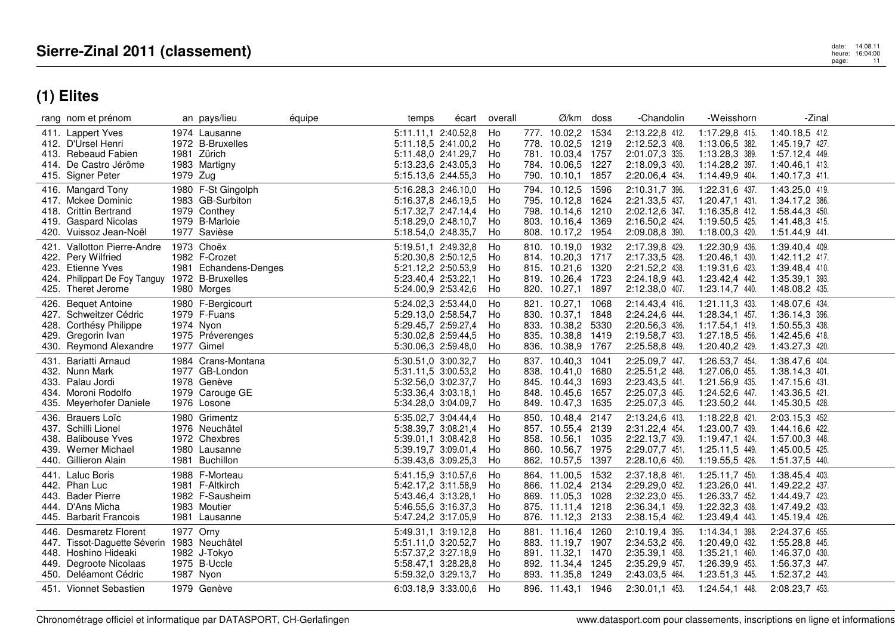| rang nom et prénom                                                                                                                          |          | an pays/lieu                                                                             | équipe | temps                                                                                                           | écart | overall                     |              | Ø/km doss                                                                                             |                              | -Chandolin                                                                             | -Weisshorn                                                                             | -Zinal                                                                                 |  |
|---------------------------------------------------------------------------------------------------------------------------------------------|----------|------------------------------------------------------------------------------------------|--------|-----------------------------------------------------------------------------------------------------------------|-------|-----------------------------|--------------|-------------------------------------------------------------------------------------------------------|------------------------------|----------------------------------------------------------------------------------------|----------------------------------------------------------------------------------------|----------------------------------------------------------------------------------------|--|
| 411. Lappert Yves<br>412. D'Ursel Henri<br>413. Rebeaud Fabien<br>414. De Castro Jérôme<br>415. Signer Peter                                | 1979 Zug | 1974 Lausanne<br>1972 B-Bruxelles<br>1981 Zürich<br>1983 Martigny                        |        | 5:11.11,1 2:40.52,8<br>5:11.18,5 2:41.00,2<br>5:11.48,0 2:41.29,7<br>5:13.23,6 2:43.05,3<br>5:15.13,6 2:44.55,3 |       | Ho<br>Ho<br>Ho<br>Ho<br>Ho  |              | 777. 10.02,2 1534<br>778. 10.02,5<br>781. 10.03,4 1757<br>784. 10.06,5 1227<br>790. 10.10,1 1857      | 1219                         | 2:13.22,8 412.<br>2:12.52,3 408.<br>2:01.07,3 335.<br>2:18.09,3 430.<br>2:20.06,4 434. | 1:17.29,8 415.<br>1:13.06,5 382.<br>1:13.28,3 389.<br>1:14.28,2 397.<br>1:14.49,9 404. | 1:40.18,5 412.<br>1:45.19,7 427.<br>1:57.12,4 449.<br>1:40.46,1 413.<br>1:40.17,3 411. |  |
| 416. Mangard Tony<br>417. Mckee Dominic<br>418. Crittin Bertrand<br>419. Gaspard Nicolas<br>420. Vuissoz Jean-Noël                          |          | 1980 F-St Gingolph<br>1983 GB-Surbiton<br>1979 Conthey<br>1979 B-Marloie<br>1977 Savièse |        | 5:16.28,3 2:46.10,0<br>5:16.37.8 2:46.19.5<br>5:17.32,7 2:47.14,4<br>5:18.29,0 2:48.10,7<br>5:18.54,0 2:48.35,7 |       | Ho<br>Ho<br>Ho<br>Ho<br>Ho  |              | 794. 10.12,5<br>795. 10.12,8 1624<br>798. 10.14,6 1210<br>803. 10.16,4 1369<br>808. 10.17,2 1954      | 1596                         | 2:10.31,7 396.<br>2:21.33,5 437.<br>2:02.12,6 347.<br>2:16.50,2 424.<br>2:09.08,8 390. | 1:22.31,6 437.<br>1:20.47,1 431.<br>1:16.35,8 412.<br>1:19.50,5 425.<br>1:18.00,3 420. | 1:43.25,0 419.<br>1:34.17,2 386.<br>1:58.44,3 450.<br>1:41.48,3 415.<br>1:51.44,9 441. |  |
| Vallotton Pierre-Andre<br>421.<br>422. Pery Wilfried<br>423. Etienne Yves<br>424. Philippart De Foy Tanguy<br>425. Theret Jerome            |          | 1973 Choëx<br>1982 F-Crozet<br>1981 Echandens-Denges<br>1972 B-Bruxelles<br>1980 Morges  |        | 5:19.51,1 2:49.32,8<br>5:20.30,8 2:50.12,5<br>5:21.12,2 2:50.53,9<br>5:23.40.4 2:53.22.1<br>5:24.00,9 2:53.42,6 |       | Ho<br>Ho<br>Ho<br>Ho<br>Ho  | 810.         | 10.19,0 1932<br>814. 10.20,3 1717<br>815. 10.21,6<br>819. 10.26,4 1723<br>820. 10.27,1 1897           | 1320                         | 2:17.39,8 429.<br>2:17.33,5 428.<br>2:21.52,2 438.<br>2:24.18,9 443.<br>2:12.38,0 407. | 1:22.30,9 436.<br>1:20.46,1 430.<br>1:19.31,6 423.<br>1:23.42,4 442.<br>1:23.14,7 440. | 1:39.40,4 409.<br>1:42.11,2 417.<br>1:39.48,4 410.<br>1:35.39,1 393.<br>1:48.08,2 435. |  |
| <b>Bequet Antoine</b><br>426.<br>427. Schweitzer Cédric<br>428. Corthésy Philippe<br>429. Gregorin Ivan<br>430. Reymond Alexandre           |          | 1980 F-Bergicourt<br>1979 F-Fuans<br>1974 Nyon<br>1975 Préverenges<br>1977 Gimel         |        | 5:24.02.3 2:53.44.0<br>5:29.13,0 2:58.54,7<br>5:29.45,7 2:59.27,4<br>5:30.02,8 2:59.44,5<br>5:30.06,3 2:59.48,0 |       | Ho<br>Ho<br>Ho<br>Ho<br>Ho  |              | 821. 10.27,1 1068<br>830. 10.37,1<br>833. 10.38,2<br>835. 10.38,8 1419<br>836. 10.38,9 1767           | 1848<br>5330                 | 2:14.43,4 416.<br>2:24.24,6 444.<br>2:20.56,3 436.<br>2:19.58,7 433.<br>2:25.58,8 449. | 1:21.11.3 433.<br>1:28.34,1 457.<br>1:17.54,1 419.<br>1:27.18,5 456.<br>1:20.40,2 429. | 1:48.07.6 434.<br>1:36.14,3 396.<br>1:50.55,3 438.<br>1:42.45,6 418.<br>1:43.27,3 420. |  |
| Bariatti Arnaud<br>431.<br>432. Nunn Mark<br>433. Palau Jordi<br>434. Moroni Rodolfo<br>435. Meyerhofer Daniele                             |          | 1984 Crans-Montana<br>1977 GB-London<br>1978 Genève<br>1979 Carouge GE<br>1976 Losone    |        | 5:30.51,0 3:00.32,7<br>5:31.11,5 3:00.53,2<br>5:32.56,0 3:02.37,7<br>5:33.36,4 3:03.18,1<br>5:34.28,0 3:04.09,7 |       | Ho.<br>Ho<br>Ho<br>Ho<br>Ho | 849.         | 837. 10.40,3<br>838. 10.41.0 1680<br>845. 10.44,3<br>848. 10.45,6<br>10.47,3                          | 1041<br>1693<br>1657<br>1635 | 2:25.09,7 447.<br>2:25.51,2 448.<br>2:23.43,5 441.<br>2:25.07,3 445.<br>2:25.07,3 445. | 1:26.53,7 454.<br>1:27.06,0 455.<br>1:21.56,9 435.<br>1:24.52,6 447.<br>1:23.50,2 444. | 1:38.47,6 404.<br>1:38.14,3 401.<br>1:47.15,6 431.<br>1:43.36,5 421.<br>1:45.30,5 428. |  |
| 436. Brauers Loïc<br>437. Schilli Lionel<br>438. Balibouse Yves<br>439. Werner Michael<br>440. Gillieron Alain                              |          | 1980 Grimentz<br>1976 Neuchâtel<br>1972 Chexbres<br>1980 Lausanne<br>1981 Buchillon      |        | 5:35.02,7 3:04.44,4<br>5:38.39,7 3:08.21,4<br>5:39.01,1 3:08.42,8<br>5:39.19.7 3:09.01.4<br>5:39.43,6 3:09.25,3 |       | Ho<br>Ho<br>Ho<br>Ho<br>Ho  | 858.<br>860. | 850. 10.48,4 2147<br>857. 10.55,4 2139<br>10.56,1 1035<br>10.56,7<br>862. 10.57,5                     | 1975<br>1397                 | 2:13.24,6 413.<br>2:31.22,4 454.<br>2:22.13,7 439.<br>2:29.07,7 451.<br>2:28.10,6 450. | 1:18.22,8 421.<br>1:23.00,7 439.<br>1:19.47,1 424.<br>1:25.11,5 449.<br>1:19.55,5 426. | 2:03.15,3 452.<br>1:44.16,6 422.<br>1:57.00,3 448.<br>1:45.00,5 425.<br>1:51.37,5 440. |  |
| <b>Laluc Boris</b><br>441.<br>442. Phan Luc<br>443. Bader Pierre<br>D'Ans Micha<br>444.<br>445. Barbarit Francois                           |          | 1988 F-Morteau<br>1981 F-Altkirch<br>1982 F-Sausheim<br>1983 Moutier<br>1981 Lausanne    |        | 5:41.15,9 3:10.57,6<br>5:42.17.2 3:11.58.9<br>5:43.46,4 3:13.28,1<br>5:46.55,6 3:16.37,3<br>5:47.24,2 3:17.05,9 |       | Ho<br>Ho<br>Ho<br>Ho<br>Ho  |              | 864. 11.00,5 1532<br>866. 11.02,4 2134<br>869. 11.05,3 1028<br>875. 11.11,4<br>876. 11.12,3 2133      | 1218                         | 2:37.18,8 461.<br>2:29.29,0 452.<br>2:32.23,0 455.<br>2:36.34,1 459.<br>2:38.15,4 462. | 1:25.11,7 450.<br>1:23.26,0 441.<br>1:26.33,7 452.<br>1:22.32,3 438.<br>1:23.49,4 443. | 1:38.45,4 403.<br>1:49.22,2 437.<br>1:44.49,7 423.<br>1:47.49,2 433.<br>1:45.19,4 426. |  |
| <b>Desmaretz Florent</b><br>446.<br>447. Tissot-Daquette Séverin<br>448. Hoshino Hideaki<br>449. Degroote Nicolaas<br>450. Deléamont Cédric |          | 1977 Orny<br>1983 Neuchâtel<br>1982 J-Tokyo<br>1975 B-Uccle<br>1987 Nyon                 |        | 5:49.31,1 3:19.12,8<br>5:51.11,0 3:20.52,7<br>5:57.37,2 3:27.18,9<br>5:58.47,1 3:28.28,8<br>5:59.32,0 3:29.13,7 |       | Ho<br>Ho<br>Ho<br>Ho<br>Ho  |              | 881. 11.16,4 1260<br>883. 11.19,7 1907<br>891. 11.32,1 1470<br>892. 11.34,4 1245<br>893. 11.35,8 1249 |                              | 2:10.19,4 395.<br>2:34.53,2 456.<br>2:35.39,1 458.<br>2:35.29,9 457.<br>2:43.03,5 464. | 1:14.34,1 398.<br>1:20.49,0 432.<br>1:35.21,1 460.<br>1:26.39,9 453.<br>1:23.51,3 445. | 2:24.37,6 455.<br>1:55.28,8 445.<br>1:46.37,0 430.<br>1:56.37,3 447.<br>1:52.37,2 443. |  |
| 451. Vionnet Sebastien                                                                                                                      |          | 1979 Genève                                                                              |        | 6:03.18,9 3:33.00,6                                                                                             |       | Ho                          |              | 896. 11.43,1 1946                                                                                     |                              | 2:30.01,1 453.                                                                         | 1:24.54,1 448.                                                                         | 2:08.23,7 453.                                                                         |  |